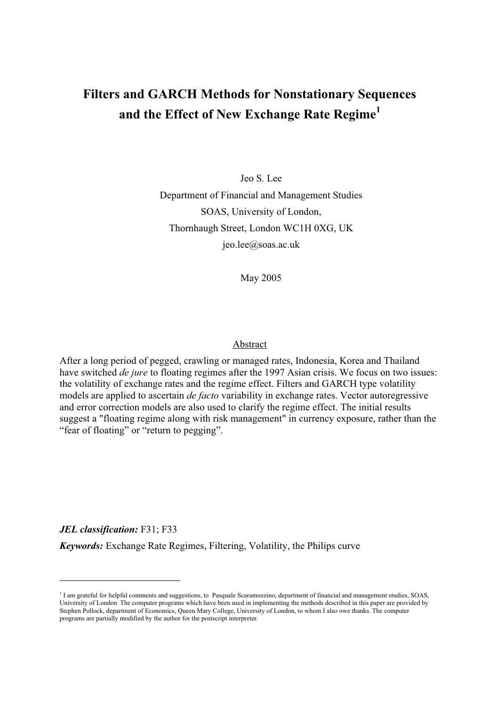# Filters and GARCH Methods for Nonstationary Sequences and the Effect of New Exchange Rate Regime<sup>1</sup>

Jeo S. Lee Department of Financial and Management Studies SOAS, University of London, Thornhaugh Street, London WC1H 0XG, UK jeo.lee@soas.ac.uk

May 2005

#### Abstract

After a long period of pegged, crawling or managed rates, Indonesia, Korea and Thailand have switched *de jure* to floating regimes after the 1997 Asian crisis. We focus on two issues: the volatility of exchange rates and the regime effect. Filters and GARCH type volatility models are applied to ascertain *de facto* variability in exchange rates. Vector autoregressive and error correction models are also used to clarify the regime effect. The initial results suggest a "floating regime along with risk management" in currency exposure, rather than the "fear of floating" or "return to pegging".

JEL classification: F31; F33

Keywords: Exchange Rate Regimes, Filtering, Volatility, the Philips curve

<sup>&</sup>lt;sup>1</sup> I am grateful for helpful comments and suggestions, to Pasquale Scaramozzino, department of financial and management studies, SOAS, University of London The computer programs which have been used in implementing the methods described in this paper are provided by Stephen Pollock, department of Economics, Queen Mary College, University of London, to whom I also owe thanks. The computer programs are partially modified by the author for the postscript interpreter.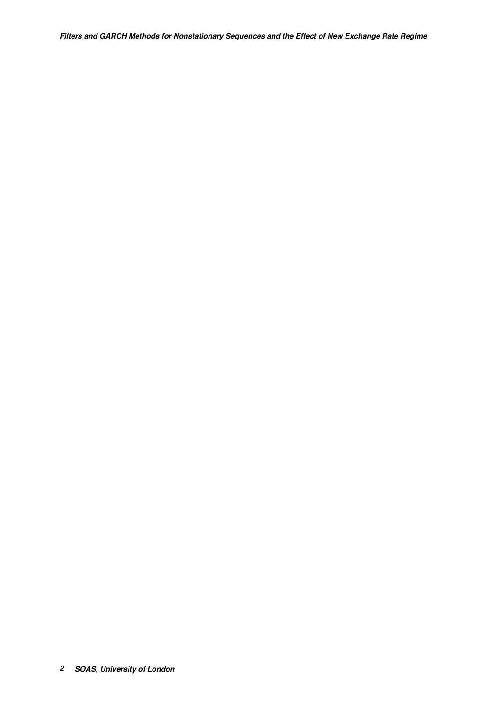**Filters and GARCH Methods for Nonstationary Sequences and the Effect of New Exchange Rate Regime**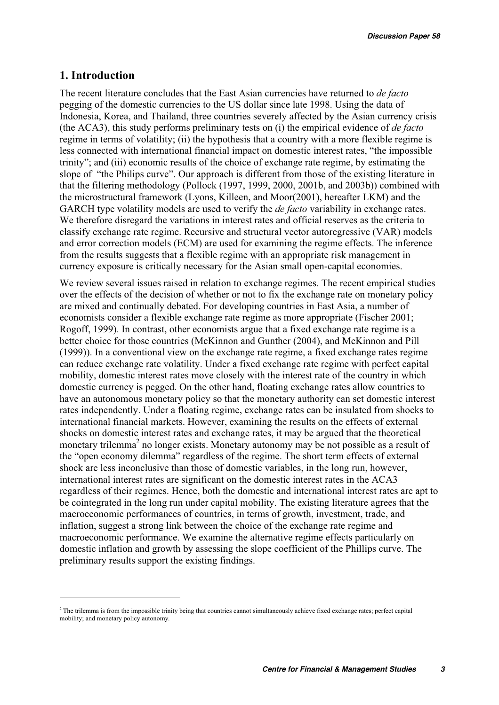**Discussion Paper 58**

# 1. Introduction

The recent literature concludes that the East Asian currencies have returned to *de facto* pegging of the domestic currencies to the US dollar since late 1998. Using the data of Indonesia, Korea, and Thailand, three countries severely affected by the Asian currency crisis (the ACA3), this study performs preliminary tests on (i) the empirical evidence of de facto regime in terms of volatility; (ii) the hypothesis that a country with a more flexible regime is less connected with international financial impact on domestic interest rates, "the impossible trinity"; and (iii) economic results of the choice of exchange rate regime, by estimating the slope of "the Philips curve". Our approach is different from those of the existing literature in that the filtering methodology (Pollock (1997, 1999, 2000, 2001b, and 2003b)) combined with the microstructural framework (Lyons, Killeen, and Moor(2001), hereafter LKM) and the GARCH type volatility models are used to verify the *de facto* variability in exchange rates. We therefore disregard the variations in interest rates and official reserves as the criteria to classify exchange rate regime. Recursive and structural vector autoregressive (VAR) models and error correction models (ECM) are used for examining the regime effects. The inference from the results suggests that a flexible regime with an appropriate risk management in currency exposure is critically necessary for the Asian small open-capital economies.

We review several issues raised in relation to exchange regimes. The recent empirical studies over the effects of the decision of whether or not to fix the exchange rate on monetary policy are mixed and continually debated. For developing countries in East Asia, a number of economists consider a flexible exchange rate regime as more appropriate (Fischer 2001; Rogoff, 1999). In contrast, other economists argue that a fixed exchange rate regime is a better choice for those countries (McKinnon and Gunther (2004), and McKinnon and Pill (1999)). In a conventional view on the exchange rate regime, a fixed exchange rates regime can reduce exchange rate volatility. Under a fixed exchange rate regime with perfect capital mobility, domestic interest rates move closely with the interest rate of the country in which domestic currency is pegged. On the other hand, floating exchange rates allow countries to have an autonomous monetary policy so that the monetary authority can set domestic interest rates independently. Under a floating regime, exchange rates can be insulated from shocks to international financial markets. However, examining the results on the effects of external shocks on domestic interest rates and exchange rates, it may be argued that the theoretical monetary trilemma<sup>2</sup> no longer exists. Monetary autonomy may be not possible as a result of the "open economy dilemma" regardless of the regime. The short term effects of external shock are less inconclusive than those of domestic variables, in the long run, however, international interest rates are significant on the domestic interest rates in the ACA3 regardless of their regimes. Hence, both the domestic and international interest rates are apt to be cointegrated in the long run under capital mobility. The existing literature agrees that the macroeconomic performances of countries, in terms of growth, investment, trade, and inflation, suggest a strong link between the choice of the exchange rate regime and macroeconomic performance. We examine the alternative regime effects particularly on domestic inflation and growth by assessing the slope coefficient of the Phillips curve. The preliminary results support the existing findings.

<sup>&</sup>lt;sup>2</sup> The trilemma is from the impossible trinity being that countries cannot simultaneously achieve fixed exchange rates; perfect capital mobility; and monetary policy autonomy.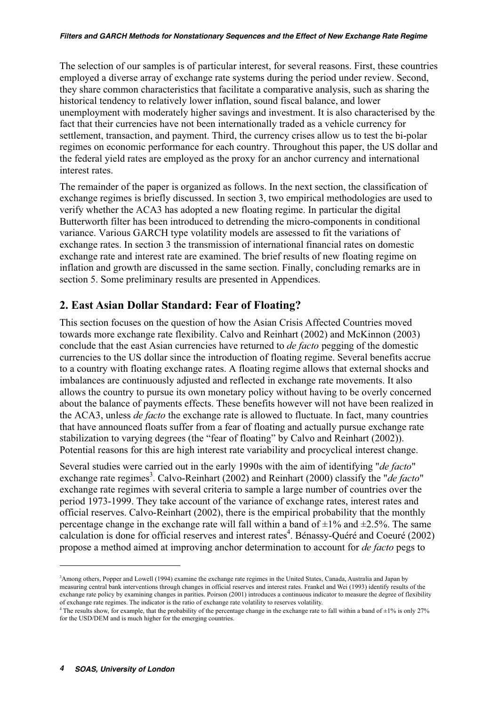The selection of our samples is of particular interest, for several reasons. First, these countries employed a diverse array of exchange rate systems during the period under review. Second, they share common characteristics that facilitate a comparative analysis, such as sharing the historical tendency to relatively lower inflation, sound fiscal balance, and lower unemployment with moderately higher savings and investment. It is also characterised by the fact that their currencies have not been internationally traded as a vehicle currency for settlement, transaction, and payment. Third, the currency crises allow us to test the bi-polar regimes on economic performance for each country. Throughout this paper, the US dollar and the federal yield rates are employed as the proxy for an anchor currency and international interest rates.

The remainder of the paper is organized as follows. In the next section, the classification of exchange regimes is briefly discussed. In section 3, two empirical methodologies are used to verify whether the ACA3 has adopted a new floating regime. In particular the digital Butterworth filter has been introduced to detrending the micro-components in conditional variance. Various GARCH type volatility models are assessed to fit the variations of exchange rates. In section 3 the transmission of international financial rates on domestic exchange rate and interest rate are examined. The brief results of new floating regime on inflation and growth are discussed in the same section. Finally, concluding remarks are in section 5. Some preliminary results are presented in Appendices.

# 2. East Asian Dollar Standard: Fear of Floating?

This section focuses on the question of how the Asian Crisis Affected Countries moved towards more exchange rate flexibility. Calvo and Reinhart (2002) and McKinnon (2003) conclude that the east Asian currencies have returned to *de facto* pegging of the domestic currencies to the US dollar since the introduction of floating regime. Several benefits accrue to a country with floating exchange rates. A floating regime allows that external shocks and imbalances are continuously adjusted and reflected in exchange rate movements. It also allows the country to pursue its own monetary policy without having to be overly concerned about the balance of payments effects. These benefits however will not have been realized in the ACA3, unless de facto the exchange rate is allowed to fluctuate. In fact, many countries that have announced floats suffer from a fear of floating and actually pursue exchange rate stabilization to varying degrees (the "fear of floating" by Calvo and Reinhart (2002)). Potential reasons for this are high interest rate variability and procyclical interest change.

Several studies were carried out in the early 1990s with the aim of identifying "*de facto*" exchange rate regimes<sup>3</sup>. Calvo-Reinhart (2002) and Reinhart (2000) classify the "*de facto*" exchange rate regimes with several criteria to sample a large number of countries over the period 1973-1999. They take account of the variance of exchange rates, interest rates and official reserves. Calvo-Reinhart (2002), there is the empirical probability that the monthly percentage change in the exchange rate will fall within a band of  $\pm 1\%$  and  $\pm 2.5\%$ . The same calculation is done for official reserves and interest rates<sup>4</sup>. Bénassy-Quéré and Coeuré (2002) propose a method aimed at improving anchor determination to account for *de facto* pegs to

<sup>3</sup> Among others, Popper and Lowell (1994) examine the exchange rate regimes in the United States, Canada, Australia and Japan by measuring central bank interventions through changes in official reserves and interest rates. Frankel and Wei (1993) identify results of the exchange rate policy by examining changes in parities. Poirson (2001) introduces a continuous indicator to measure the degree of flexibility of exchange rate regimes. The indicator is the ratio of exchange rate volatility to reserves volatility.

<sup>&</sup>lt;sup>4</sup> The results show, for example, that the probability of the percentage change in the exchange rate to fall within a band of  $\pm 1\%$  is only 27% for the USD/DEM and is much higher for the emerging countries.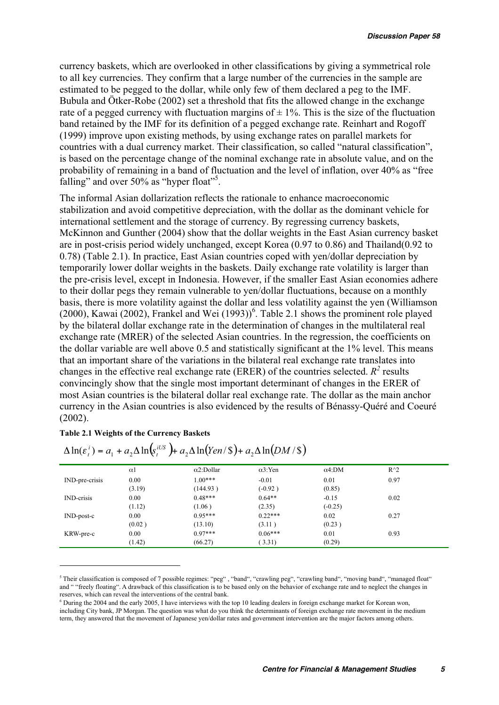currency baskets, which are overlooked in other classifications by giving a symmetrical role to all key currencies. They confirm that a large number of the currencies in the sample are estimated to be pegged to the dollar, while only few of them declared a peg to the IMF. Bubula and Ötker-Robe (2002) set a threshold that fits the allowed change in the exchange rate of a pegged currency with fluctuation margins of  $\pm$  1%. This is the size of the fluctuation band retained by the IMF for its definition of a pegged exchange rate. Reinhart and Rogoff (1999) improve upon existing methods, by using exchange rates on parallel markets for countries with a dual currency market. Their classification, so called "natural classification", is based on the percentage change of the nominal exchange rate in absolute value, and on the probability of remaining in a band of fluctuation and the level of inflation, over 40% as "free falling" and over 50% as "hyper float"<sup>5</sup>.

The informal Asian dollarization reflects the rationale to enhance macroeconomic stabilization and avoid competitive depreciation, with the dollar as the dominant vehicle for international settlement and the storage of currency. By regressing currency baskets, McKinnon and Gunther (2004) show that the dollar weights in the East Asian currency basket are in post-crisis period widely unchanged, except Korea (0.97 to 0.86) and Thailand(0.92 to 0.78) (Table 2.1). In practice, East Asian countries coped with yen/dollar depreciation by temporarily lower dollar weights in the baskets. Daily exchange rate volatility is larger than the pre-crisis level, except in Indonesia. However, if the smaller East Asian economies adhere to their dollar pegs they remain vulnerable to yen/dollar fluctuations, because on a monthly basis, there is more volatility against the dollar and less volatility against the yen (Williamson (2000), Kawai (2002), Frankel and Wei (1993))<sup>6</sup>. Table 2.1 shows the prominent role played by the bilateral dollar exchange rate in the determination of changes in the multilateral real exchange rate (MRER) of the selected Asian countries. In the regression, the coefficients on the dollar variable are well above 0.5 and statistically significant at the 1% level. This means that an important share of the variations in the bilateral real exchange rate translates into changes in the effective real exchange rate (ERER) of the countries selected.  $R^2$  results convincingly show that the single most important determinant of changes in the ERER of most Asian countries is the bilateral dollar real exchange rate. The dollar as the main anchor currency in the Asian countries is also evidenced by the results of Bénassy-Quéré and Coeuré (2002).

| $\Delta \ln(\varepsilon_t^i) = a_1 + a_2 \Delta \ln(s_t^{iUS}) + a_2 \Delta \ln( \text{Yen/S}) + a_2 \Delta \ln(DM/\$)$ |            |                   |                |               |               |  |
|-------------------------------------------------------------------------------------------------------------------------|------------|-------------------|----------------|---------------|---------------|--|
|                                                                                                                         | $\alpha$ 1 | $\alpha$ 2:Dollar | $\alpha$ 3:Yen | $\alpha$ 4:DM | $R^{\wedge}2$ |  |
| IND-pre-crisis                                                                                                          | 0.00       | $1.00***$         | $-0.01$        | 0.01          | 0.97          |  |
|                                                                                                                         | (3.19)     | (144.93)          | $(-0.92)$      | (0.85)        |               |  |
| <b>IND-crisis</b>                                                                                                       | 0.00       | $0.48***$         | $0.64**$       | $-0.15$       | 0.02          |  |
|                                                                                                                         | (1.12)     | (1.06)            | (2.35)         | $(-0.25)$     |               |  |
| $IND-post-c$                                                                                                            | 0.00       | $0.95***$         | $0.22***$      | 0.02          | 0.27          |  |
|                                                                                                                         | (0.02)     | (13.10)           | (3.11)         | (0.23)        |               |  |
| KRW-pre-c                                                                                                               | 0.00       | $0.97***$         | $0.06***$      | 0.01          | 0.93          |  |
|                                                                                                                         | (1.42)     | (66.27)           | 3.31)          | (0.29)        |               |  |

#### Table 2.1 Weights of the Currency Baskets

<sup>5</sup> Their classification is composed of 7 possible regimes: "peg" , "band", "crawling peg", "crawling band", "moving band", "managed float" and " "freely floating". A drawback of this classification is to be based only on the behavior of exchange rate and to neglect the changes in reserves, which can reveal the interventions of the central bank.

<sup>6</sup> During the 2004 and the early 2005, I have interviews with the top 10 leading dealers in foreign exchange market for Korean won, including City bank, JP Morgan. The question was what do you think the determinants of foreign exchange rate movement in the medium term, they answered that the movement of Japanese yen/dollar rates and government intervention are the major factors among others.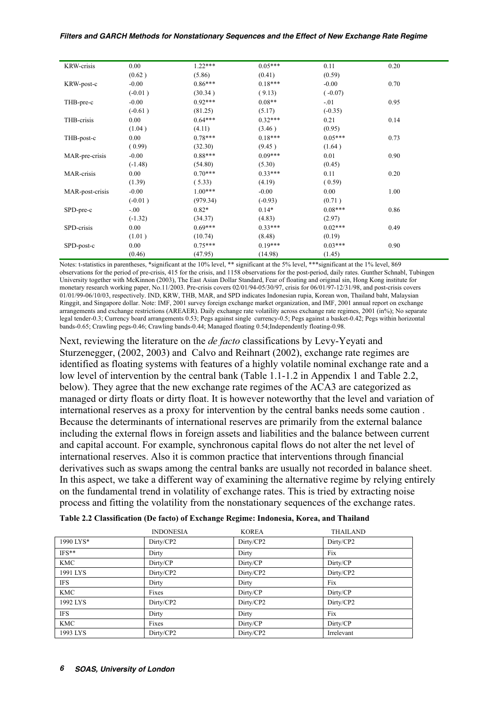#### **Filters and GARCH Methods for Nonstationary Sequences and the Effect of New Exchange Rate Regime**

| <b>KRW-crisis</b> | 0.00      | $1.22***$ | $0.05***$ | 0.11      | 0.20 |
|-------------------|-----------|-----------|-----------|-----------|------|
|                   | (0.62)    | (5.86)    | (0.41)    | (0.59)    |      |
| KRW-post-c        | $-0.00$   | $0.86***$ | $0.18***$ | $-0.00$   | 0.70 |
|                   | $(-0.01)$ | (30.34)   | (9.13)    | $(-0.07)$ |      |
| THB-pre-c         | $-0.00$   | $0.92***$ | $0.08**$  | $-.01$    | 0.95 |
|                   | $(-0.61)$ | (81.25)   | (5.17)    | $(-0.35)$ |      |
| THB-crisis        | 0.00      | $0.64***$ | $0.32***$ | 0.21      | 0.14 |
|                   | (1.04)    | (4.11)    | (3.46)    | (0.95)    |      |
| THB-post-c        | 0.00      | $0.78***$ | $0.18***$ | $0.05***$ | 0.73 |
|                   | (0.99)    | (32.30)   | (9.45)    | (1.64)    |      |
| MAR-pre-crisis    | $-0.00$   | $0.88***$ | $0.09***$ | 0.01      | 0.90 |
|                   | $(-1.48)$ | (54.80)   | (5.30)    | (0.45)    |      |
| MAR-crisis        | 0.00      | $0.70***$ | $0.33***$ | 0.11      | 0.20 |
|                   | (1.39)    | (5.33)    | (4.19)    | (0.59)    |      |
| MAR-post-crisis   | $-0.00$   | $1.00***$ | $-0.00$   | 0.00      | 1.00 |
|                   | $(-0.01)$ | (979.34)  | $(-0.93)$ | (0.71)    |      |
| SPD-pre-c         | $-0.00$   | $0.82*$   | $0.14*$   | $0.08***$ | 0.86 |
|                   | $(-1.32)$ | (34.37)   | (4.83)    | (2.97)    |      |
| SPD-crisis        | 0.00      | $0.69***$ | $0.33***$ | $0.02***$ | 0.49 |
|                   | (1.01)    | (10.74)   | (8.48)    | (0.19)    |      |
| SPD-post-c        | 0.00      | $0.75***$ | $0.19***$ | $0.03***$ | 0.90 |
|                   | (0.46)    | (47.95)   | (14.98)   | (1.45)    |      |

Notes: t-statistics in parentheses, \*significant at the 10% level, \*\* significant at the 5% level, \*\*\* significant at the 1% level, 869 observations for the period of pre-crisis, 415 for the crisis, and 1158 observations for the post-period, daily rates. Gunther Schnabl, Tubingen University together with McKinnon (2003), The East Asian Dollar Standard, Fear of floating and original sin, Hong Kong institute for monetary research working paper, No.11/2003. Pre-crisis covers 02/01/94-05/30/97, crisis for 06/01/97-12/31/98, and post-crisis covers 01/01/99-06/10/03, respectively. IND, KRW, THB, MAR, and SPD indicates Indonesian rupia, Korean won, Thailand baht, Malaysian Ringgit, and Singapore dollar. Note: IMF, 2001 survey foreign exchange market organization, and IMF, 2001 annual report on exchange arrangements and exchange restrictions (AREAER). Daily exchange rate volatility across exchange rate regimes, 2001 (in%); No separate legal tender-0.3; Currency board arrangements 0.53; Pegs against single currency-0.5; Pegs against a basket-0.42; Pegs within horizontal bands-0.65; Crawling pegs-0.46; Crawling bands-0.44; Managed floating 0.54;Independently floating-0.98.

Next, reviewing the literature on the *de facto* classifications by Levy-Yeyati and Sturzenegger, (2002, 2003) and Calvo and Reihnart (2002), exchange rate regimes are identified as floating systems with features of a highly volatile nominal exchange rate and a low level of intervention by the central bank (Table 1.1-1.2 in Appendix 1 and Table 2.2, below). They agree that the new exchange rate regimes of the ACA3 are categorized as managed or dirty floats or dirty float. It is however noteworthy that the level and variation of international reserves as a proxy for intervention by the central banks needs some caution . Because the determinants of international reserves are primarily from the external balance including the external flows in foreign assets and liabilities and the balance between current and capital account. For example, synchronous capital flows do not alter the net level of international reserves. Also it is common practice that interventions through financial derivatives such as swaps among the central banks are usually not recorded in balance sheet. In this aspect, we take a different way of examining the alternative regime by relying entirely on the fundamental trend in volatility of exchange rates. This is tried by extracting noise process and fitting the volatility from the nonstationary sequences of the exchange rates.

|           | <b>INDONESIA</b> | <b>KOREA</b> | <b>THAILAND</b> |
|-----------|------------------|--------------|-----------------|
| 1990 LYS* | Dirty/CP2        | Dirty/CP2    | Dirty/CP2       |
| $IFS**$   | Dirty            | Dirty        | Fix             |

| Table 2.2 Classification (De facto) of Exchange Regime: Indonesia, Korea, and Thailand |  |  |  |  |
|----------------------------------------------------------------------------------------|--|--|--|--|
|----------------------------------------------------------------------------------------|--|--|--|--|

| KMC        | Dirty/CP  | Dirty/CP  | Dirty/CP   |
|------------|-----------|-----------|------------|
| 1991 LYS   | Dirty/CP2 | Dirty/CP2 | Dirty/CP2  |
| <b>IFS</b> | Dirty     | Dirty     | Fix        |
| KMC        | Fixes     | Dirty/CP  | Dirty/CP   |
| 1992 LYS   | Dirty/CP2 | Dirty/CP2 | Dirty/CP2  |
| <b>IFS</b> | Dirty     | Dirty     | Fix        |
| KMC        | Fixes     | Dirty/CP  | Dirty/CP   |
| 1993 LYS   | Dirty/CP2 | Dirty/CP2 | Irrelevant |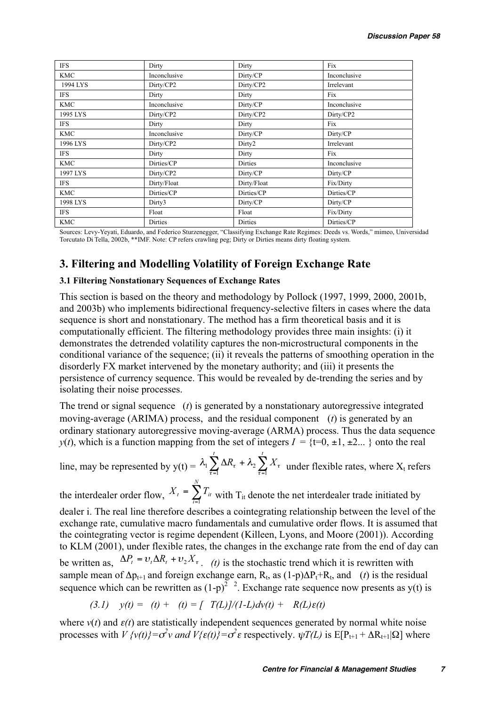| <b>IFS</b> | Dirty        | Dirty              | Fix          |
|------------|--------------|--------------------|--------------|
| KMC        | Inconclusive | Dirty/CP           | Inconclusive |
| 1994 LYS   | Dirty/CP2    | Dirty/CP2          | Irrelevant   |
| <b>IFS</b> | Dirty        | Dirty              | Fix          |
| KMC        | Inconclusive | Dirty/CP           | Inconclusive |
| 1995 LYS   | Dirty/CP2    | Dirty/CP2          | Dirty/CP2    |
| IFS        | Dirty        | Dirty              | Fix          |
| KMC        | Inconclusive | Dirty/CP           | Dirty/CP     |
| 1996 LYS   | Dirty/CP2    | Dirty <sub>2</sub> | Irrelevant   |
| IFS        | Dirty        | Dirty              | Fix          |
| <b>KMC</b> | Dirties/CP   | <b>Dirties</b>     | Inconclusive |
| 1997 LYS   | Dirty/CP2    | Dirty/CP           | Dirty/CP     |
| <b>IFS</b> | Dirty/Float  | Dirty/Float        | Fix/Dirty    |
| KMC        | Dirties/CP   | Dirties/CP         | Dirties/CP   |
| 1998 LYS   | Dirty3       | Dirty/CP           | Dirty/CP     |
| IFS        | Float        | Float              | Fix/Dirty    |
| KMC        | Dirties      | Dirties            | Dirties/CP   |

Sources: Levy-Yeyati, Eduardo, and Federico Sturzenegger, "Classifying Exchange Rate Regimes: Deeds vs. Words," mimeo, Universidad Torcutato Di Tella, 2002b, \*\*IMF. Note: CP refers crawling peg; Dirty or Dirties means dirty floating system.

# 3. Filtering and Modelling Volatility of Foreign Exchange Rate

#### 3.1 Filtering Nonstationary Sequences of Exchange Rates

This section is based on the theory and methodology by Pollock (1997, 1999, 2000, 2001b, and 2003b) who implements bidirectional frequency-selective filters in cases where the data sequence is short and nonstationary. The method has a firm theoretical basis and it is computationally efficient. The filtering methodology provides three main insights: (i) it demonstrates the detrended volatility captures the non-microstructural components in the conditional variance of the sequence; (ii) it reveals the patterns of smoothing operation in the disorderly FX market intervened by the monetary authority; and (iii) it presents the persistence of currency sequence. This would be revealed by de-trending the series and by isolating their noise processes.

The trend or signal sequence  $(t)$  is generated by a nonstationary autoregressive integrated moving-average (ARIMA) process, and the residual component  $(t)$  is generated by an ordinary stationary autoregressive moving-average (ARMA) process. Thus the data sequence  $y(t)$ , which is a function mapping from the set of integers  $I = \{t=0, \pm 1, \pm 2...\}$  onto the real

#### line, may be represented by  $y(t) = \lambda_1 \sum_{\tau=1}^{t} \Delta R_{\tau} + \lambda_2 \sum_{\tau=1}^{t}$  $R_{\tau}$  +  $\lambda_2$   $\sum X$ 1 2 1  $\frac{1}{\tau-1} \frac{\Delta n_{\tau} + n_2}{\tau}$ τ  $\lambda_1 \sum_{\tau=1} \Delta R_{\tau} + \lambda_2 \sum_{\tau=1} X_{\tau}$  under flexible rates, where  $X_t$  refers the interdealer order flow,  $X_t = \sum_{i=1}^{N}$ i  $X_t = \sum T_{it}$  $\sum_{i=1}^{n} I_{ii}$  with T<sub>it</sub> denote the net interdealer trade initiated by dealer i. The real line therefore describes a cointegrating relationship between the level of the

exchange rate, cumulative macro fundamentals and cumulative order flows. It is assumed that the cointegrating vector is regime dependent (Killeen, Lyons, and Moore (2001)). According to KLM (2001), under flexible rates, the changes in the exchange rate from the end of day can be written as,  $\Delta P_t = v_t \Delta R_t + v_2 X_{\tau}$ . (t) is the stochastic trend which it is rewritten with sample mean of  $\Delta p_{t+1}$  and foreign exchange earn, R<sub>t</sub>, as  $(1-p)\Delta P_t + R_t$ , and (*t*) is the residual sequence which can be rewritten as  $(1-p)^{2-2}$ . Exchange rate sequence now presents as y(t) is

$$
(3.1) \quad y(t) = (t) + (t) = [T(L)]/(1-L)dv(t) + R(L)\varepsilon(t)
$$

where  $v(t)$  and  $\varepsilon(t)$  are statistically independent sequences generated by normal white noise processes with  $V \{v(t)\} = \sigma^2 v$  and  $V \{v(t)\} = \sigma^2 \varepsilon$  respectively.  $\psi T(L)$  is  $E[P_{t+1} + \Delta R_{t+1} | \Omega]$  where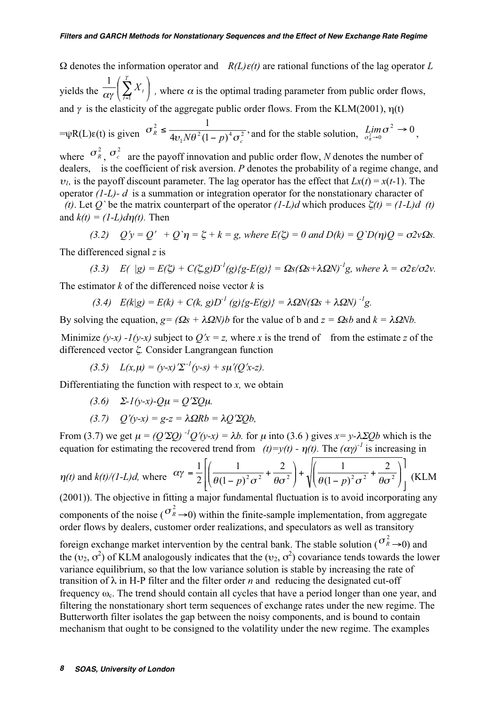$\Omega$  denotes the information operator and  $R(L)\varepsilon(t)$  are rational functions of the lag operator L yields the  $\frac{1}{\alpha \gamma} \left( \sum_{t=1} X_t \right)$  $\left(\sum_{t=1}^{T} X_{t}\right)$ V  $\Big(\sum_{t=1}^T$ t  $X_t$ 1 1  $\overline{\alpha\gamma}$   $\left(\sum_{t=1}^{N} A_t\right)$ , where  $\alpha$  is the optimal trading parameter from public order flows, and  $\gamma$  is the elasticity of the aggregate public order flows. From the KLM(2001),  $\eta(t)$ 

 $=\psi R(L)\varepsilon(t)$  is given  $\sigma_R^2 \leq \frac{1}{4v_1N\theta^2(1-p)^4\sigma_c^2}$ ,  $^{2}(1 - n)^{4} \sigma^{2}$ 1 2 c  $\sigma_{R}^{2} \leq \frac{1}{4v_{1}N\theta^{2}(1-p)^{4}\sigma_{c}^{2}}$ , and for the stable solution,  $\lim_{\sigma_{R}^{2}\to 0} \sigma^{2} \to 0$ ,

where  $\sigma_R^2$ ,  $\sigma_c^2$  are the payoff innovation and public order flow, N denotes the number of dealers, is the coefficient of risk aversion. P denotes the probability of a regime change, and  $v_l$ , is the payoff discount parameter. The lag operator has the effect that  $Lx(t) = x(t-1)$ . The operator  $(1-L)$ - d is a summation or integration operator for the nonstationary character of (t). Let Q' be the matrix counterpart of the operator  $(1-L)d$  which produces  $\zeta(t) = (1-L)d$  (t) and  $k(t) = (1-L)dn(t)$ . Then

(3.2) 
$$
Q'y = Q' + Q'\eta = \zeta + k = g
$$
, where  $E(\zeta) = 0$  and  $D(k) = Q'D(\eta)Q = \sigma^2 \Omega$ .

The differenced signal  $z$  is

(3.3) 
$$
E(|g|) = E(\zeta) + C(\zeta, g)D^{-1}(g)\{g - E(g)\} = \Omega s(\Omega s + \lambda \Omega N)^{-1}g
$$
, where  $\lambda = \sigma 2\varepsilon/\sigma 2v$ .

The estimator  $k$  of the differenced noise vector  $k$  is

$$
(3.4) \quad E(k|g) = E(k) + C(k, g)D^{-1}(g)\{g-E(g)\} = \lambda \Omega N(\Omega s + \lambda \Omega N)^{-1}g.
$$

By solving the equation,  $g = (\Omega_s + \lambda \Omega N)b$  for the value of b and  $z = \Omega_s b$  and  $k = \lambda \Omega Nb$ .

Minimize  $(y-x) -1(y-x)$  subject to  $Q'x = z$ , where x is the trend of from the estimate z of the differenced vector  $\zeta$ . Consider Langrangean function

$$
(3.5) \quad L(x,\mu) = (y-x)'\Sigma^{-1}(y-s) + s\mu'(Q'x-z).
$$

Differentiating the function with respect to  $x$ , we obtain

(3.6) 
$$
\Sigma
$$
-1(y-x)- $Q\mu$  =  $Q' \Sigma Q \mu$ .  
(3.7)  $Q'(y-x) = g-z = \lambda \Omega R b = \lambda Q' \Sigma Q b$ ,

From (3.7) we get  $\mu = (Q'\Sigma Q)^{-1}Q'(y-x) = \lambda b$ . for  $\mu$  into (3.6) gives  $x = y - \lambda \Sigma Qb$  which is the equation for estimating the recovered trend from (t)=y(t) -  $\eta(t)$ . The ( $\alpha\gamma$ )<sup>-1</sup> is increasing in

$$
\eta(t) \text{ and } k(t)/(1-L)d, \text{ where } \alpha \gamma = \frac{1}{2} \left[ \left( \frac{1}{\theta(1-p)^2 \sigma^2} + \frac{2}{\theta \sigma^2} \right) + \sqrt{\left( \frac{1}{\theta(1-p)^2 \sigma^2} + \frac{2}{\theta \sigma^2} \right)} \right] (\text{KLM})
$$

(2001)). The objective in fitting a major fundamental fluctuation is to avoid incorporating any components of the noise ( $\sigma_R^2 \rightarrow 0$ ) within the finite-sample implementation, from aggregate order flows by dealers, customer order realizations, and speculators as well as transitory

foreign exchange market intervention by the central bank. The stable solution ( $\sigma_R^2 \rightarrow 0$ ) and the ( $v_2$ ,  $\sigma^2$ ) of KLM analogously indicates that the ( $v_2$ ,  $\sigma^2$ ) covariance tends towards the lower variance equilibrium, so that the low variance solution is stable by increasing the rate of transition of  $\lambda$  in H-P filter and the filter order *n* and reducing the designated cut-off frequency  $\omega_c$ . The trend should contain all cycles that have a period longer than one year, and filtering the nonstationary short term sequences of exchange rates under the new regime. The Butterworth filter isolates the gap between the noisy components, and is bound to contain mechanism that ought to be consigned to the volatility under the new regime. The examples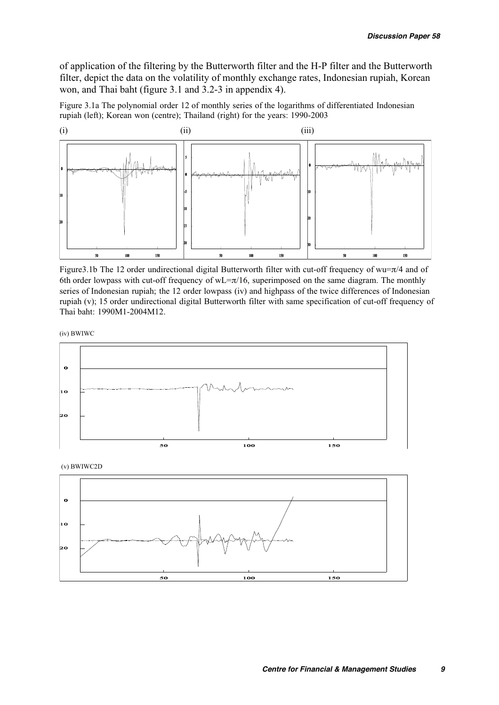of application of the filtering by the Butterworth filter and the H-P filter and the Butterworth filter, depict the data on the volatility of monthly exchange rates, Indonesian rupiah, Korean won, and Thai baht (figure 3.1 and 3.2-3 in appendix 4).

Figure 3.1a The polynomial order 12 of monthly series of the logarithms of differentiated Indonesian rupiah (left); Korean won (centre); Thailand (right) for the years: 1990-2003



Figure 3.1b The 12 order undirectional digital Butterworth filter with cut-off frequency of wu= $\pi/4$  and of 6th order lowpass with cut-off frequency of  $wL=\pi/16$ , superimposed on the same diagram. The monthly series of Indonesian rupiah; the 12 order lowpass (iv) and highpass of the twice differences of Indonesian rupiah (v); 15 order undirectional digital Butterworth filter with same specification of cut-off frequency of Thai baht: 1990M1-2004M12.

(iv) BWIWC



(v) BWIWC2D

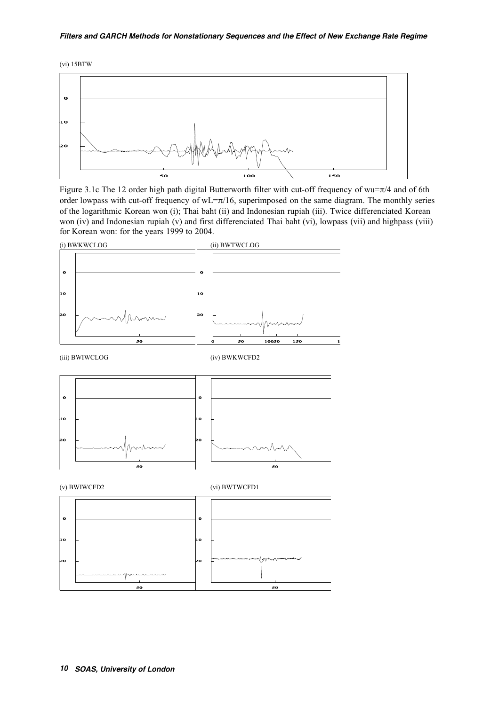(vi) 15BTW



Figure 3.1c The 12 order high path digital Butterworth filter with cut-off frequency of wu= $\pi/4$  and of 6th order lowpass with cut-off frequency of  $wL=\pi/16$ , superimposed on the same diagram. The monthly series of the logarithmic Korean won (i); Thai baht (ii) and Indonesian rupiah (iii). Twice differenciated Korean won (iv) and Indonesian rupiah (v) and first differenciated Thai baht (vi), lowpass (vii) and highpass (viii) for Korean won: for the years 1999 to 2004.

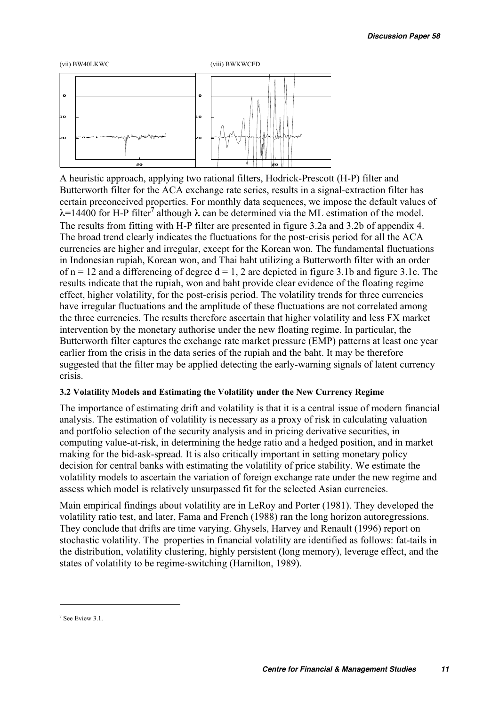

A heuristic approach, applying two rational filters, Hodrick-Prescott (H-P) filter and Butterworth filter for the ACA exchange rate series, results in a signal-extraction filter has certain preconceived properties. For monthly data sequences, we impose the default values of  $\lambda$ =14400 for H-P filter<sup>7</sup> although  $\lambda$  can be determined via the ML estimation of the model. The results from fitting with H-P filter are presented in figure 3.2a and 3.2b of appendix 4. The broad trend clearly indicates the fluctuations for the post-crisis period for all the ACA currencies are higher and irregular, except for the Korean won. The fundamental fluctuations in Indonesian rupiah, Korean won, and Thai baht utilizing a Butterworth filter with an order of  $n = 12$  and a differencing of degree  $d = 1$ , 2 are depicted in figure 3.1b and figure 3.1c. The results indicate that the rupiah, won and baht provide clear evidence of the floating regime effect, higher volatility, for the post-crisis period. The volatility trends for three currencies have irregular fluctuations and the amplitude of these fluctuations are not correlated among the three currencies. The results therefore ascertain that higher volatility and less FX market intervention by the monetary authorise under the new floating regime. In particular, the Butterworth filter captures the exchange rate market pressure (EMP) patterns at least one year earlier from the crisis in the data series of the rupiah and the baht. It may be therefore suggested that the filter may be applied detecting the early-warning signals of latent currency crisis.

# 3.2 Volatility Models and Estimating the Volatility under the New Currency Regime

The importance of estimating drift and volatility is that it is a central issue of modern financial analysis. The estimation of volatility is necessary as a proxy of risk in calculating valuation and portfolio selection of the security analysis and in pricing derivative securities, in computing value-at-risk, in determining the hedge ratio and a hedged position, and in market making for the bid-ask-spread. It is also critically important in setting monetary policy decision for central banks with estimating the volatility of price stability. We estimate the volatility models to ascertain the variation of foreign exchange rate under the new regime and assess which model is relatively unsurpassed fit for the selected Asian currencies.

Main empirical findings about volatility are in LeRoy and Porter (1981). They developed the volatility ratio test, and later, Fama and French (1988) ran the long horizon autoregressions. They conclude that drifts are time varying. Ghysels, Harvey and Renault (1996) report on stochastic volatility. The properties in financial volatility are identified as follows: fat-tails in the distribution, volatility clustering, highly persistent (long memory), leverage effect, and the states of volatility to be regime-switching (Hamilton, 1989).

 $7$  See Eview 3.1.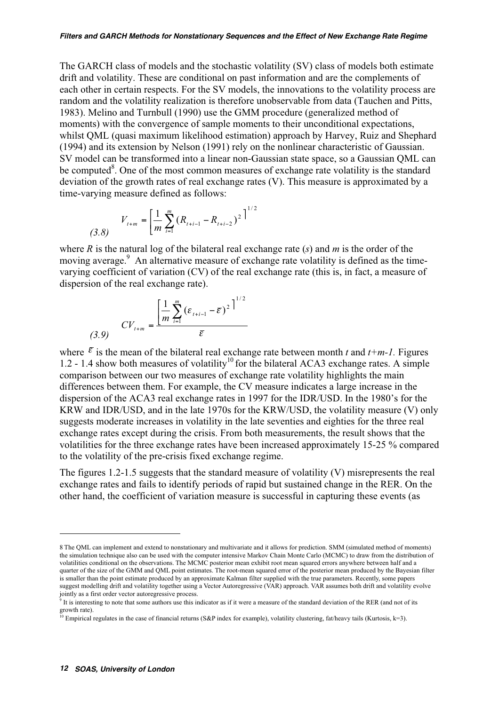The GARCH class of models and the stochastic volatility (SV) class of models both estimate drift and volatility. These are conditional on past information and are the complements of each other in certain respects. For the SV models, the innovations to the volatility process are random and the volatility realization is therefore unobservable from data (Tauchen and Pitts, 1983). Melino and Turnbull (1990) use the GMM procedure (generalized method of moments) with the convergence of sample moments to their unconditional expectations, whilst QML (quasi maximum likelihood estimation) approach by Harvey, Ruiz and Shephard (1994) and its extension by Nelson (1991) rely on the nonlinear characteristic of Gaussian. SV model can be transformed into a linear non-Gaussian state space, so a Gaussian QML can be computed<sup>8</sup>. One of the most common measures of exchange rate volatility is the standard deviation of the growth rates of real exchange rates (V). This measure is approximated by a time-varying measure defined as follows:

$$
V_{t+m} = \left[\frac{1}{m} \sum_{i=1}^{m} (R_{t+i-1} - R_{t+i-2})^2\right]^{1/2}
$$
\n(3.8)

where R is the natural log of the bilateral real exchange rate  $(s)$  and m is the order of the moving average.<sup>9</sup> An alternative measure of exchange rate volatility is defined as the timevarying coefficient of variation (CV) of the real exchange rate (this is, in fact, a measure of dispersion of the real exchange rate).

$$
(3.9) \qquad CV_{t+m} = \frac{\left[\frac{1}{m}\sum_{i=1}^{m} \left(\varepsilon_{t+i-1} - \overline{\varepsilon}\right)^{2}\right]^{1/2}}{\overline{\varepsilon}}
$$

where  $\bar{\varepsilon}$  is the mean of the bilateral real exchange rate between month t and t+m-1. Figures 1.2 - 1.4 show both measures of volatility<sup>10</sup> for the bilateral ACA3 exchange rates. A simple comparison between our two measures of exchange rate volatility highlights the main differences between them. For example, the CV measure indicates a large increase in the dispersion of the ACA3 real exchange rates in 1997 for the IDR/USD. In the 1980's for the KRW and IDR/USD, and in the late 1970s for the KRW/USD, the volatility measure (V) only suggests moderate increases in volatility in the late seventies and eighties for the three real exchange rates except during the crisis. From both measurements, the result shows that the volatilities for the three exchange rates have been increased approximately 15-25 % compared to the volatility of the pre-crisis fixed exchange regime.

The figures 1.2-1.5 suggests that the standard measure of volatility (V) misrepresents the real exchange rates and fails to identify periods of rapid but sustained change in the RER. On the other hand, the coefficient of variation measure is successful in capturing these events (as

<sup>8</sup> The QML can implement and extend to nonstationary and multivariate and it allows for prediction. SMM (simulated method of moments) the simulation technique also can be used with the computer intensive Markov Chain Monte Carlo (MCMC) to draw from the distribution of volatilities conditional on the observations. The MCMC posterior mean exhibit root mean squared errors anywhere between half and a quarter of the size of the GMM and QML point estimates. The root-mean squared error of the posterior mean produced by the Bayesian filter is smaller than the point estimate produced by an approximate Kalman filter supplied with the true parameters. Recently, some papers suggest modelling drift and volatility together using a Vector Autoregressive (VAR) approach. VAR assumes both drift and volatility evolve jointly as a first order vector autoregressive process.

 $9$  It is interesting to note that some authors use this indicator as if it were a measure of the standard deviation of the RER (and not of its growth rate).

<sup>&</sup>lt;sup>10</sup> Empirical regulates in the case of financial returns (S&P index for example), volatility clustering, fat/heavy tails (Kurtosis, k=3).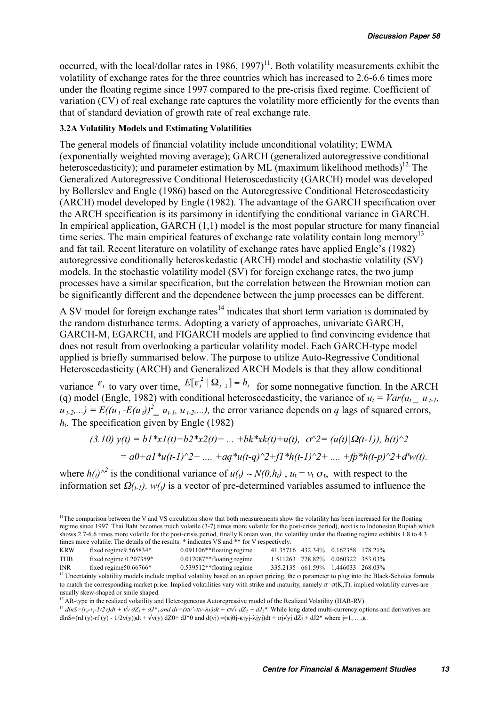occurred, with the local/dollar rates in 1986,  $1997$ <sup>11</sup>. Both volatility measurements exhibit the volatility of exchange rates for the three countries which has increased to 2.6-6.6 times more under the floating regime since 1997 compared to the pre-crisis fixed regime. Coefficient of variation (CV) of real exchange rate captures the volatility more efficiently for the events than that of standard deviation of growth rate of real exchange rate.

#### 3.2A Volatility Models and Estimating Volatilities

The general models of financial volatility include unconditional volatility; EWMA (exponentially weighted moving average); GARCH (generalized autoregressive conditional heteroscedasticity); and parameter estimation by ML (maximum likelihood methods)<sup>12.</sup> The Generalized Autoregressive Conditional Heteroscedasticity (GARCH) model was developed by Bollerslev and Engle (1986) based on the Autoregressive Conditional Heteroscedasticity (ARCH) model developed by Engle (1982). The advantage of the GARCH specification over the ARCH specification is its parsimony in identifying the conditional variance in GARCH. In empirical application, GARCH (1,1) model is the most popular structure for many financial time series. The main empirical features of exchange rate volatility contain long memory<sup>13</sup> and fat tail. Recent literature on volatility of exchange rates have applied Engle's (1982) autoregressive conditionally heteroskedastic (ARCH) model and stochastic volatility (SV) models. In the stochastic volatility model (SV) for foreign exchange rates, the two jump processes have a similar specification, but the correlation between the Brownian motion can be significantly different and the dependence between the jump processes can be different.

A SV model for foreign exchange rates<sup>14</sup> indicates that short term variation is dominated by the random disturbance terms. Adopting a variety of approaches, univariate GARCH, GARCH-M, EGARCH, and FIGARCH models are applied to find convincing evidence that does not result from overlooking a particular volatility model. Each GARCH-type model applied is briefly summarised below. The purpose to utilize Auto-Regressive Conditional Heteroscedasticity (ARCH) and Generalized ARCH Models is that they allow conditional

variance  $\varepsilon_t$  to vary over time,  $E[\varepsilon_t^2 | \Omega_{t-1}] = h_t$  for some nonnegative function. In the ARCH (q) model (Engle, 1982) with conditional heteroscedasticity, the variance of  $u_t = Var(u_t - u_{t-1})$ ,  $u_{t-2}$ ,...) =  $E((u_t - E(u_t))^2 \cdot u_{t-1}, u_{t-2}$ ,...), the error variance depends on q lags of squared errors,  $h_t$ . The specification given by Engle (1982)

$$
(3.10) y(t) = b1 * x1(t) + b2 * x2(t) + ... + bk * xk(t) + u(t), \ \sigma^2 = (u(t)|\Omega(t-1)), \ h(t)^2
$$
  
=  $a0 + a1 * u(t-1)^2 + ... + aq * u(t-q)^2 + f1 * h(t-1)^2 + ... + fp * h(t-p)^2 + d'w(t).$ 

where  $h(t)^{\wedge^2}$  is the conditional variance of  $u(t) \sim N(0,h_t)$ ,  $u_t = v_t \sigma_t$ , with respect to the information set  $\Omega_{(t-1)}$ .  $w(t)$  is a vector of pre-determined variables assumed to influence the

<sup>&</sup>lt;sup>11</sup>The comparison between the V and VS circulation show that both measurements show the volatility has been increased for the floating regime since 1997. Thai Baht becomes much volatile (3-7) times more volatile for the post-crisis period), next is to Indonesian Rupiah which shows 2.7-6.6 times more volatile for the post-crisis period, finally Korean won, the volatility under the floating regime exhibits 1.8 to 4.3 times more volatile. The details of the results: \* indicates VS and \*\* for V respectively.<br>KRW fixed regime9.565834\* 0.091106\*\*floating regime 41.3571

KRW fixed regime9.565834\* 0.091106\*\*floating regime 41.35716 432.34% 0.162358 178.21% THB fixed regime 0.207359\* 0.017087\*\*floating regime 1.511263 728.82% 0.060322 353.03%<br>
INR fixed regime 50.66766\* 0.539512\*\*floating regime 335.2135 661.59% 1.446033 268.03% INR fixed regime50.66766\* 0.539512\*\*floating regime 335.2135 661.59% 1.446033 268.03%

 $12$  Uncertainty volatility models include implied volatility based on an option pricing, the  $\sigma$  parameter to plug into the Black-Scholes formula to match the corresponding market price. Implied volatilities vary with strike and maturity, namely  $\sigma = o(K,T)$ . implied volatility curves are usually skew-shaped or smile shaped.

<sup>&</sup>lt;sup>13</sup> AR-type in the realized volatility and Heterogeneous Autoregressive model of the Realized Volatility (HAR-RV).

<sup>&</sup>lt;sup>14</sup>  $dlnS = (r_a-r_f)/2v)dt + \sqrt{v} dZ_1 + dJ^*$  and  $dv = (kv' - kv)dt + \sigma\sqrt{v} dZ_2 + dJ^*$ . While long dated multi-currency options and derivatives are dlnS=(rd (y)-rf (y) -  $1/2v(y)$ )dt +  $v(v(y)$  dZ0+ dJ\*0 and d(yj) =( $\kappa$ j $\theta$ j- $\kappa$ jyj- $\lambda$ jyj)dt +  $\sigma$ j $v$ yj dZj + dJ2\* where j=1, ..., $\kappa$ .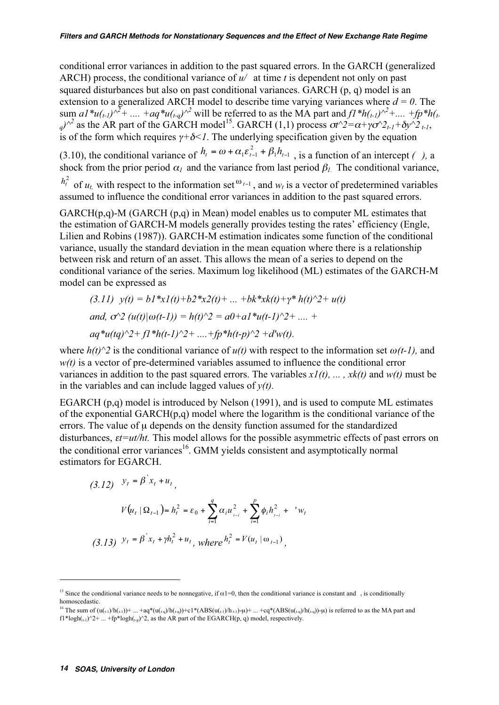conditional error variances in addition to the past squared errors. In the GARCH (generalized ARCH) process, the conditional variance of  $u/$  at time t is dependent not only on past squared disturbances but also on past conditional variances. GARCH (p, q) model is an extension to a generalized ARCH model to describe time varying variances where  $d = 0$ . The sum  $a_1^*u_{(t-1)}^*$   $\sim$   $\frac{1}{2}$  + ....  $+a_q^*u_{(t-q)}^*$  will be referred to as the MA part and  $f_1^*h_{(t-1)}^*$   $\sim$   $\frac{1}{2}$  +....  $+f_p^*h_{(t-q)}^*$  $_q$ )<sup> $\wedge^2$ </sup> as the AR part of the GARCH model<sup>15</sup>. GARCH (1,1) process  $\sigma t^2 = \alpha + \gamma \sigma^2 t^2 + \delta y^2 t^2$ is of the form which requires  $\gamma + \delta \leq 1$ . The underlying specification given by the equation

(3.10), the conditional variance of  $h_t = \omega + \alpha_1 \varepsilon_{t-1}^2 + \beta_1 h_{t-1}$ , is a function of an intercept (*)*, a shock from the prior period  $\alpha_l$  and the variance from last period  $\beta_l$ . The conditional variance,

 $h_t^2$  of  $u_t$ , with respect to the information set  $\omega_{t-1}$ , and  $w_t$  is a vector of predetermined variables assumed to influence the conditional error variances in addition to the past squared errors.

 $GARCH(p,q)-M(GARCH(p,q)$  in Mean) model enables us to computer ML estimates that the estimation of GARCH-M models generally provides testing the rates' efficiency (Engle, Lilien and Robins (1987)). GARCH-M estimation indicates some function of the conditional variance, usually the standard deviation in the mean equation where there is a relationship between risk and return of an asset. This allows the mean of a series to depend on the conditional variance of the series. Maximum log likelihood (ML) estimates of the GARCH-M model can be expressed as

$$
(3.11) \ y(t) = b1 * x1(t) + b2 * x2(t) + \dots + bk * xk(t) + \gamma * h(t) \cdot 2 + u(t)
$$
  
and,  $\sigma \cdot 2 (u(t)|\omega(t-1)) = h(t) \cdot 2 = a0 + a1 * u(t-1) \cdot 2 + \dots + aq * u(tq) \cdot 2 + f1 * h(t-1) \cdot 2 + \dots + f p * h(t-p) \cdot 2 + d'w(t).$ 

where  $h(t)$ <sup> $\Diamond$ </sup> is the conditional variance of  $u(t)$  with respect to the information set  $\omega(t-1)$ , and  $w(t)$  is a vector of pre-determined variables assumed to influence the conditional error variances in addition to the past squared errors. The variables  $x(t)$ , ...,  $x(k(t))$  and  $w(t)$  must be in the variables and can include lagged values of  $y(t)$ .

EGARCH (p,q) model is introduced by Nelson (1991), and is used to compute ML estimates of the exponential GARCH(p,q) model where the logarithm is the conditional variance of the errors. The value of  $\mu$  depends on the density function assumed for the standardized disturbances,  $\epsilon t = ut/ht$ . This model allows for the possible asymmetric effects of past errors on the conditional error variances<sup>16</sup>. GMM vields consistent and asymptotically normal estimators for EGARCH.

(3.12) 
$$
y_t = \beta' x_t + u_t,
$$
  
\n
$$
V(u_t | \Omega_{t-1}) = h_t^2 = \varepsilon_0 + \sum_{i=1}^q \alpha_i u_{t-i}^2 + \sum_{i=1}^p \phi_i h_{t-i}^2 + \cdots + v_t
$$
  
\n(3.13) 
$$
y_t = \beta' x_t + \gamma h_t^2 + u_t, \text{ where } h_t^2 = V(u_t | \omega_{t-1}),
$$

<sup>&</sup>lt;sup>15</sup> Since the conditional variance needs to be nonnegative, if  $\alpha$ 1=0, then the conditional variance is constant and  $\alpha$  is conditionally homoscedastic.

<sup>&</sup>lt;sup>16</sup> The sum of  $(u_{t-1})/h_{t-1})+ ... + aq*(u_{t-q})/h_{t-q})+c1*(ABS(u_{t-1})/h_{t-1})-\mu)+ ... +cq*(ABS(u_{t-q})/h_{t-q})-\mu$  is referred to as the MA part and  $f1 * logh(t_{t-1})^2 + ... + fp * logh(t_{t-p})^2$ , as the AR part of the EGARCH(p, q) model, respectively.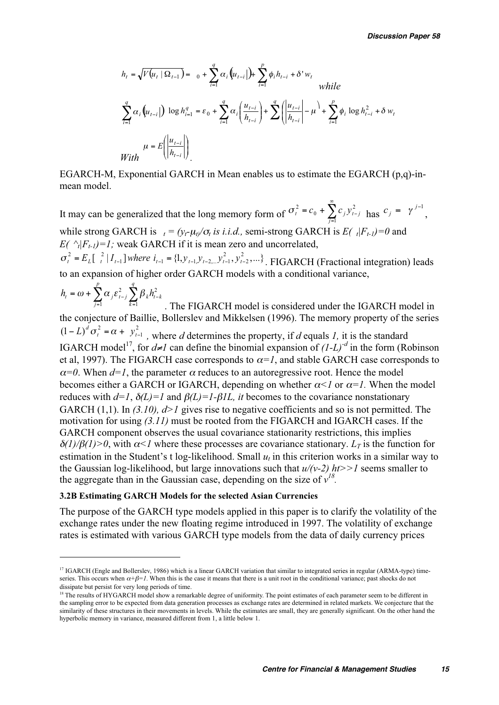$$
h_{t} = \sqrt{V(u_{t} | \Omega_{t-1})} = 0 + \sum_{i=1}^{q} \alpha_{i} (\mu_{t-i}) + \sum_{i=1}^{p} \phi_{i} h_{t-i} + \delta' w_{t}
$$
\nwhile\n
$$
\sum_{i=1}^{q} \alpha_{i} (\mu_{t-i} |) \log h_{i=1}^{q} = \varepsilon_{0} + \sum_{i=1}^{q} \alpha_{i} (\frac{u_{t-i}}{h_{t-i}}) + \sum_{i=1}^{q} (\left| \frac{u_{t-i}}{h_{t-i}} \right| - \mu^{1} + \sum_{i=1}^{p} \phi_{i} \log h_{t-i}^{2} + \delta w_{t}
$$
\n
$$
With
$$

EGARCH-M, Exponential GARCH in Mean enables us to estimate the EGARCH (p,q)-inmean model.

It may can be generalized that the long memory form of  $\sigma_t^2 = c_0 + \sum_{k=1}^{\infty}$  $\infty$  $=c_0 + \sum_{j=1}^{\infty} c_j y_{t-1}^2$ 1 2 0 2  $\sigma_t^2 = c_0 + \sum_{j=1}^{\infty} c_j y_{t-j}^2$  has  $c_j = \gamma^{j-1}$ , while strong GARCH is  $t = (v_t - \mu_t/\sigma_t \text{ is } i.i.d.,$  semi-strong GARCH is  $E(t_t|F_{t-1})=0$  and  $E(\bigcap_{i} F_{t_i})=1$ ; weak GARCH if it is mean zero and uncorrelated,  $\begin{bmatrix} 2 \\ t \end{bmatrix}$   $I_{t-1}$  where  $i_{t-1} = \{1, y_{t-1,} y_{t-2, \ldots} y_{t-1}^2, y_{t-2}^2, \ldots\}$ 2 1 *where*  $t_{t-1} = (1, y_{t-1}, y_{t-2}, \dots, y_{t-1})$  $\sigma_t^2 = E_L[-t^2 | I_{t-1}]$  where  $i_{t-1} = \{1, y_{t-1}, y_{t-2}, \dots y_{t-1}^2, y_{t-2}^2, \dots\}$ . FIGARCH (Fractional integration) leads to an expansion of higher order GARCH models with a conditional variance,

$$
h_{\iota} = \omega + \sum_{j=1}^p \alpha_j \varepsilon_{\iota-j}^2 \sum_{k=1}^q \beta_k h_{\iota-k}^2
$$

The FIGARCH model is considered under the IGARCH model in the conjecture of Baillie, Bollerslev and Mikkelsen (1996). The memory property of the series 2  $(1 - L)^d \sigma_t^2 = \alpha + y_{t-1}^2$ , where d determines the property, if d equals 1, it is the standard IGARCH model<sup>17</sup>, for  $d\neq l$  can define the binomial expansion of  $(l-L)^{-d}$  in the form (Robinson et al, 1997). The FIGARCH case corresponds to  $\alpha = 1$ , and stable GARCH case corresponds to  $\alpha$ =0. When  $d=1$ , the parameter  $\alpha$  reduces to an autoregressive root. Hence the model becomes either a GARCH or IGARCH, depending on whether  $\alpha < 1$  or  $\alpha = 1$ . When the model reduces with  $d=1$ ,  $\delta(L)=1$  and  $\beta(L)=1-\beta L$ , *it* becomes to the covariance nonstationary GARCH (1,1). In (3.10),  $d>1$  gives rise to negative coefficients and so is not permitted. The motivation for using  $(3.11)$  must be rooted from the FIGARCH and IGARCH cases. If the GARCH component observes the usual covariance stationarity restrictions, this implies  $\delta(1)/\beta(1)$  > 0, with  $\alpha$ <1 where these processes are covariance stationary.  $L_T$  is the function for estimation in the Student's t log-likelihood. Small  $u_t$  in this criterion works in a similar way to the Gaussian log-likelihood, but large innovations such that  $u/(v-2)$  ht  $>>1$  seems smaller to the aggregate than in the Gaussian case, depending on the size of  $v^{18}$ .

#### 3.2B Estimating GARCH Models for the selected Asian Currencies

The purpose of the GARCH type models applied in this paper is to clarify the volatility of the exchange rates under the new floating regime introduced in 1997. The volatility of exchange rates is estimated with various GARCH type models from the data of daily currency prices

<sup>&</sup>lt;sup>17</sup> IGARCH (Engle and Bollerslev, 1986) which is a linear GARCH variation that similar to integrated series in regular (ARMA-type) timeseries. This occurs when  $\alpha+\beta=1$ . When this is the case it means that there is a unit root in the conditional variance; past shocks do not dissipate but persist for very long periods of time.

<sup>&</sup>lt;sup>18</sup> The results of HYGARCH model show a remarkable degree of uniformity. The point estimates of each parameter seem to be different in the sampling error to be expected from data generation processes as exchange rates are determined in related markets. We conjecture that the similarity of these structures in their movements in levels. While the estimates are small, they are generally significant. On the other hand the hyperbolic memory in variance, measured different from 1, a little below 1.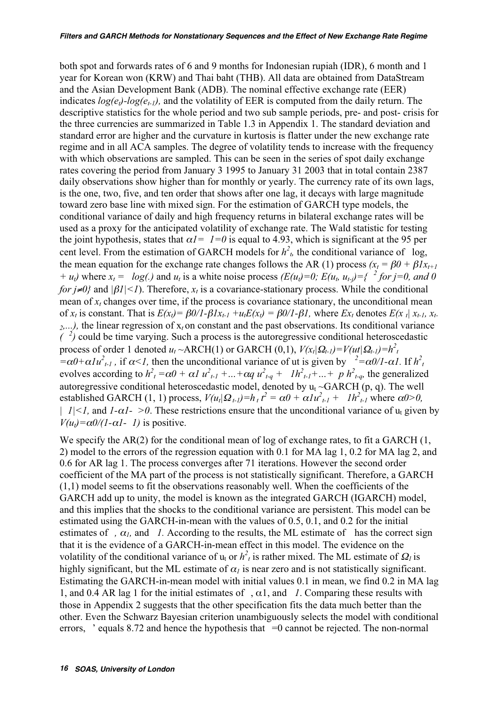both spot and forwards rates of 6 and 9 months for Indonesian rupiah (IDR), 6 month and 1 year for Korean won (KRW) and Thai baht (THB). All data are obtained from DataStream and the Asian Development Bank (ADB). The nominal effective exchange rate (EER) indicates  $log(e_i)-log(e_{t-1})$ , and the volatility of EER is computed from the daily return. The descriptive statistics for the whole period and two sub sample periods, pre- and post- crisis for the three currencies are summarized in Table 1.3 in Appendix 1. The standard deviation and standard error are higher and the curvature in kurtosis is flatter under the new exchange rate regime and in all ACA samples. The degree of volatility tends to increase with the frequency with which observations are sampled. This can be seen in the series of spot daily exchange rates covering the period from January 3 1995 to January 31 2003 that in total contain 2387 daily observations show higher than for monthly or yearly. The currency rate of its own lags, is the one, two, five, and ten order that shows after one lag, it decays with large magnitude toward zero base line with mixed sign. For the estimation of GARCH type models, the conditional variance of daily and high frequency returns in bilateral exchange rates will be used as a proxy for the anticipated volatility of exchange rate. The Wald statistic for testing the joint hypothesis, states that  $\alpha l = l = 0$  is equal to 4.93, which is significant at the 95 per cent level. From the estimation of GARCH models for  $h<sup>2</sup><sub>b</sub>$ , the conditional variance of log, the mean equation for the exchange rate changes follows the AR (1) process  $(x_t = \beta \theta + \beta I x_{t+1})$ +  $u_t$ ) where  $x_t = log(t)$  and  $u_t$  is a white noise process ( $E(u_t) = 0$ ;  $E(u_t, u_{t-1}) = \frac{2}{t}$  for j=0, and 0 for  $i\neq 0$  and  $|\beta/|\leq 1$ . Therefore,  $x_t$  is a covariance-stationary process. While the conditional mean of  $x_t$  changes over time, if the process is covariance stationary, the unconditional mean of  $x_t$  is constant. That is  $E(x_t) = \beta 0/1 - \beta 1x_{t-1} + u_t E(x_t) = \beta 0/1 - \beta 1$ , where  $Ex_t$  denotes  $E(x_t | x_{t-1}, x_t)$ .  $2,...$ ), the linear regression of  $x_t$  on constant and the past observations. Its conditional variance  $\binom{2}{3}$  could be time varying. Such a process is the autoregressive conditional heteroscedastic process of order 1 denoted  $u_t \sim \text{ARCH}(1)$  or GARCH (0,1),  $V(x_t | \Omega_{t-1}) = V(u t | \Omega_{t-1}) = h_t^2$  $=\alpha\theta+\alpha I u^2$ <sub>t-1</sub>, if  $\alpha < 1$ , then the unconditional variance of ut is given by  $\alpha^2 = \alpha\theta/I - \alpha I$ . If  $h^2$ evolves according to  $h_t^2 = \alpha 0 + \alpha I u_{t-1}^2 + ... + \alpha q u_{t-q}^2 + I h_{t-1}^2 + ... + I h_{t-q}^2$ , the generalized autoregressive conditional heteroscedastic model, denoted by  $u_t \sim GARCH$  (p, q). The well established GARCH (1, 1) process,  $V(u_t|\Omega_{t-1})=h_t t^2 = \alpha \theta + \alpha I u_{t-1}^2 + I h_{t-1}^2$  where  $\alpha \theta > 0$ , |  $1|\langle 1, \rangle$  and  $1-\alpha$ ] -  $\langle 0, \rangle$ . These restrictions ensure that the unconditional variance of  $u_t$  given by  $V(u_t) = \alpha 0/(1-\alpha 1-1)$  is positive.

We specify the AR(2) for the conditional mean of log of exchange rates, to fit a GARCH (1, 2) model to the errors of the regression equation with 0.1 for MA lag 1, 0.2 for MA lag 2, and 0.6 for AR lag 1. The process converges after 71 iterations. However the second order coefficient of the MA part of the process is not statistically significant. Therefore, a GARCH (1,1) model seems to fit the observations reasonably well. When the coefficients of the GARCH add up to unity, the model is known as the integrated GARCH (IGARCH) model, and this implies that the shocks to the conditional variance are persistent. This model can be estimated using the GARCH-in-mean with the values of 0.5, 0.1, and 0.2 for the initial estimates of,  $\alpha_l$ , and 1. According to the results, the ML estimate of has the correct sign that it is the evidence of a GARCH-in-mean effect in this model. The evidence on the volatility of the conditional variance of  $u_t$  or  $h<sup>2</sup><sub>t</sub>$  is rather mixed. The ML estimate of  $\Omega<sub>l</sub>$  is highly significant, but the ML estimate of  $\alpha_l$  is near zero and is not statistically significant. Estimating the GARCH-in-mean model with initial values 0.1 in mean, we find 0.2 in MA lag 1, and 0.4 AR lag 1 for the initial estimates of ,  $\alpha$ 1, and 1. Comparing these results with those in Appendix 2 suggests that the other specification fits the data much better than the other. Even the Schwarz Bayesian criterion unambiguously selects the model with conditional errors, ' equals 8.72 and hence the hypothesis that  $=0$  cannot be rejected. The non-normal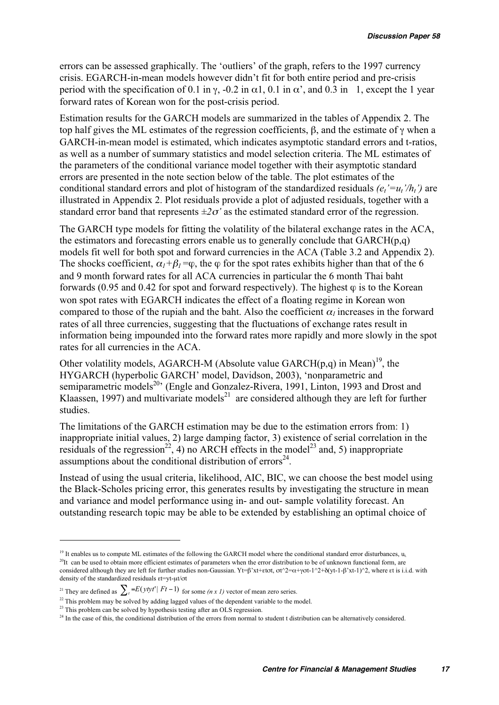errors can be assessed graphically. The 'outliers' of the graph, refers to the 1997 currency crisis. EGARCH-in-mean models however didn't fit for both entire period and pre-crisis period with the specification of 0.1 in  $\gamma$ , -0.2 in  $\alpha$ 1, 0.1 in  $\alpha'$ , and 0.3 in 1, except the 1 year forward rates of Korean won for the post-crisis period.

Estimation results for the GARCH models are summarized in the tables of Appendix 2. The top half gives the ML estimates of the regression coefficients,  $\beta$ , and the estimate of  $\gamma$  when a GARCH-in-mean model is estimated, which indicates asymptotic standard errors and t-ratios, as well as a number of summary statistics and model selection criteria. The ML estimates of the parameters of the conditional variance model together with their asymptotic standard errors are presented in the note section below of the table. The plot estimates of the conditional standard errors and plot of histogram of the standardized residuals  $(e_t' = u_t'/h_t')$  are illustrated in Appendix 2. Plot residuals provide a plot of adjusted residuals, together with a standard error band that represents  $\pm 2\sigma'$  as the estimated standard error of the regression.

The GARCH type models for fitting the volatility of the bilateral exchange rates in the ACA, the estimators and forecasting errors enable us to generally conclude that GARCH(p,q) models fit well for both spot and forward currencies in the ACA (Table 3.2 and Appendix 2). The shocks coefficient,  $\alpha_l + \beta_l = \varphi$ , the  $\varphi$  for the spot rates exhibits higher than that of the 6 and 9 month forward rates for all ACA currencies in particular the 6 month Thai baht forwards  $(0.95 \text{ and } 0.42 \text{ for spot and forward respectively})$ . The highest  $\varphi$  is to the Korean won spot rates with EGARCH indicates the effect of a floating regime in Korean won compared to those of the rupiah and the baht. Also the coefficient  $\alpha_i$  increases in the forward rates of all three currencies, suggesting that the fluctuations of exchange rates result in information being impounded into the forward rates more rapidly and more slowly in the spot rates for all currencies in the ACA.

Other volatility models, AGARCH-M (Absolute value GARCH $(p,q)$  in Mean)<sup>19</sup>, the HYGARCH (hyperbolic GARCH' model, Davidson, 2003), 'nonparametric and semiparametric models<sup>20</sup> (Engle and Gonzalez-Rivera, 1991, Linton, 1993 and Drost and Klaassen, 1997) and multivariate models<sup>21</sup> are considered although they are left for further studies.

The limitations of the GARCH estimation may be due to the estimation errors from: 1) inappropriate initial values, 2) large damping factor, 3) existence of serial correlation in the residuals of the regression<sup>22</sup>, 4) no ARCH effects in the model<sup>23</sup> and, 5) inappropriate assumptions about the conditional distribution of  $\arccos^{24}$ .

Instead of using the usual criteria, likelihood, AIC, BIC, we can choose the best model using the Black-Scholes pricing error, this generates results by investigating the structure in mean and variance and model performance using in- and out- sample volatility forecast. An outstanding research topic may be able to be extended by establishing an optimal choice of

<sup>&</sup>lt;sup>19</sup> It enables us to compute ML estimates of the following the GARCH model where the conditional standard error disturbances,  $u_t$  $^{20}$ It can be used to obtain more efficient estimates of parameters when the error distribution to be of unknown functional form, are considered although they are left for further studies non-Gaussian. Yt= $\beta'$ xt+ $\epsilon$ tot,  $\sigma t^2 = \alpha + \gamma \sigma t - 1^2 + \delta(yt - 1 - \beta'xt - 1)^2$ , where  $\epsilon t$  is i.i.d. with density of the standardized residuals  $\epsilon t = yt - \mu t/\sigma t$ 

<sup>&</sup>lt;sup>21</sup> They are defined as  $\sum_{t} = E(ytyt' | Ft - 1)$  for some  $(n \times 1)$  vector of mean zero series.

<sup>&</sup>lt;sup>22</sup> This problem may be solved by adding lagged values of the dependent variable to the model.

<sup>&</sup>lt;sup>23</sup> This problem can be solved by hypothesis testing after an OLS regression.

<sup>&</sup>lt;sup>24</sup> In the case of this, the conditional distribution of the errors from normal to student t distribution can be alternatively considered.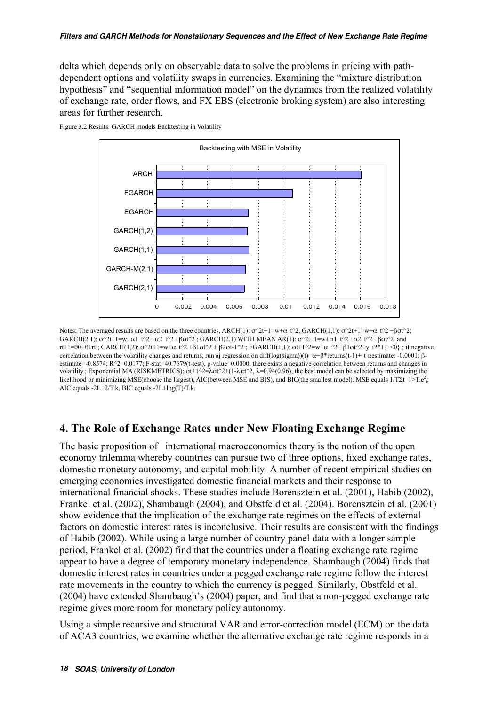delta which depends only on observable data to solve the problems in pricing with pathdependent options and volatility swaps in currencies. Examining the "mixture distribution hypothesis" and "sequential information model" on the dynamics from the realized volatility of exchange rate, order flows, and FX EBS (electronic broking system) are also interesting areas for further research.



Figure 3.2 Results: GARCH models Backtesting in Volatility

Notes: The averaged results are based on the three countries, ARCH(1):  $\sigma^2 2t+1=w+\alpha t^2$ , GARCH(1,1):  $\sigma^2 2t+1=w+\alpha t^2 +\beta \sigma^2$ ;  $GARCH(2,1): \sigma^2t+1=w+\alpha 1$  t^2 + $\alpha$ 2 t^2 + $\beta$  $\sigma$ t^2 ;  $GARCH(2,1)$  WITH MEAN AR(1):  $\sigma^2t+1=w+\alpha 1$  t^2 + $\alpha$ 2 t^2 + $\beta$  $\sigma$ t^2 and rt+1=θ0+θ1rt ; GARCH(1,2): σ^2t+1=w+α t^2 +β1σt^2 + β2σt-1^2 ; FGARCH(1,1): σt+1^2=w+α ^2t+β1σt^2+y t2\*1{ <0} ; if negative correlation between the volatility changes and returns, run aj regression on diff(log(sigma))(t)= $\alpha+\beta$ \*returns(t-1)+ t  $\alpha$ estimate: -0.0001;  $\beta$ estimate=-0.8574; R^2=0.0177; F-stat=40.7679(t-test), p-value=0.0000, there exists a negative correlation between returns and changes in volatility.; Exponential MA (RISKMETRICS):  $\text{ot}+1^{\gamma}2=\lambda \text{ot}^{\gamma}2+(1-\lambda)\text{ct}^{\gamma}2$ ,  $\lambda=0.94(0.96)$ ; the best model can be selected by maximizing the likelihood or minimizing MSE(choose the largest), AIC(between MSE and BIS), and BIC(the smallest model). MSE equals  $1/T\Sigma t=1>T.e<sup>2</sup>$ ; AIC equals -2L+2/T.k, BIC equals -2L+log(T)/T.k.

# 4. The Role of Exchange Rates under New Floating Exchange Regime

The basic proposition of international macroeconomics theory is the notion of the open economy trilemma whereby countries can pursue two of three options, fixed exchange rates, domestic monetary autonomy, and capital mobility. A number of recent empirical studies on emerging economies investigated domestic financial markets and their response to international financial shocks. These studies include Borensztein et al. (2001), Habib (2002), Frankel et al. (2002), Shambaugh (2004), and Obstfeld et al. (2004). Borensztein et al. (2001) show evidence that the implication of the exchange rate regimes on the effects of external factors on domestic interest rates is inconclusive. Their results are consistent with the findings of Habib (2002). While using a large number of country panel data with a longer sample period, Frankel et al. (2002) find that the countries under a floating exchange rate regime appear to have a degree of temporary monetary independence. Shambaugh (2004) finds that domestic interest rates in countries under a pegged exchange rate regime follow the interest rate movements in the country to which the currency is pegged. Similarly, Obstfeld et al. (2004) have extended Shambaugh's (2004) paper, and find that a non-pegged exchange rate regime gives more room for monetary policy autonomy.

Using a simple recursive and structural VAR and error-correction model (ECM) on the data of ACA3 countries, we examine whether the alternative exchange rate regime responds in a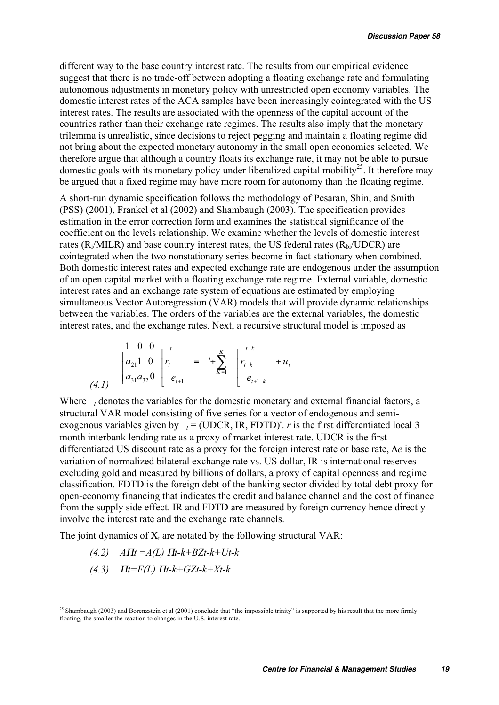different way to the base country interest rate. The results from our empirical evidence suggest that there is no trade-off between adopting a floating exchange rate and formulating autonomous adjustments in monetary policy with unrestricted open economy variables. The domestic interest rates of the ACA samples have been increasingly cointegrated with the US interest rates. The results are associated with the openness of the capital account of the countries rather than their exchange rate regimes. The results also imply that the monetary trilemma is unrealistic, since decisions to reject pegging and maintain a floating regime did not bring about the expected monetary autonomy in the small open economies selected. We therefore argue that although a country floats its exchange rate, it may not be able to pursue domestic goals with its monetary policy under liberalized capital mobility<sup>25</sup>. It therefore may be argued that a fixed regime may have more room for autonomy than the floating regime.

A short-run dynamic specification follows the methodology of Pesaran, Shin, and Smith (PSS) (2001), Frankel et al (2002) and Shambaugh (2003). The specification provides estimation in the error correction form and examines the statistical significance of the coefficient on the levels relationship. We examine whether the levels of domestic interest rates ( $R_i/MILR$ ) and base country interest rates, the US federal rates ( $R_b / UDCR$ ) are cointegrated when the two nonstationary series become in fact stationary when combined. Both domestic interest rates and expected exchange rate are endogenous under the assumption of an open capital market with a floating exchange rate regime. External variable, domestic interest rates and an exchange rate system of equations are estimated by employing simultaneous Vector Autoregression (VAR) models that will provide dynamic relationships between the variables. The orders of the variables are the external variables, the domestic interest rates, and the exchange rates. Next, a recursive structural model is imposed as

$$
\begin{array}{c}\n1 & 0 & 0 \\
a_{21} & 1 & 0 \\
a_{31} & 0 & e_{t+1} \\
a_{41} & 0 & e_{t+1}\n\end{array} = \begin{array}{c}\n1 + \sum_{k=1}^{K} \begin{array}{ccc}\n1 & k \\
r_{t,k} & +u_t \\
e_{t+1,k}\n\end{array}\n\end{array}
$$

Where  $\tau$  denotes the variables for the domestic monetary and external financial factors, a structural VAR model consisting of five series for a vector of endogenous and semiexogenous variables given by  $t = (UDCR, IR, FDTD)'$ . r is the first differentiated local 3 month interbank lending rate as a proxy of market interest rate. UDCR is the first differentiated US discount rate as a proxy for the foreign interest rate or base rate,  $\Delta e$  is the variation of normalized bilateral exchange rate vs. US dollar, IR is international reserves excluding gold and measured by billions of dollars, a proxy of capital openness and regime classification. FDTD is the foreign debt of the banking sector divided by total debt proxy for open-economy financing that indicates the credit and balance channel and the cost of finance from the supply side effect. IR and FDTD are measured by foreign currency hence directly involve the interest rate and the exchange rate channels.

The joint dynamics of  $X_t$  are notated by the following structural VAR:

- $(4.2)$   $A\Pi t = A(L) \Pi t k + BZt k + Ut k$
- $(4.3)$   $\Pi t = F(L) \Pi t k + GZt k + Xt k$

<sup>&</sup>lt;sup>25</sup> Shambaugh (2003) and Borenzstein et al (2001) conclude that "the impossible trinity" is supported by his result that the more firmly floating, the smaller the reaction to changes in the U.S. interest rate.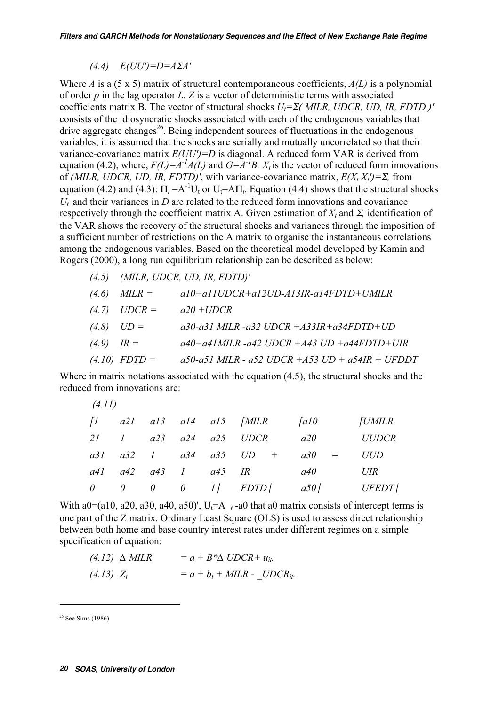# $(4.4)$   $E(UU')=D=A\Sigma A'$

Where A is a (5 x 5) matrix of structural contemporaneous coefficients,  $A(L)$  is a polynomial of order  $p$  in the lag operator  $L$ .  $Z$  is a vector of deterministic terms with associated coefficients matrix B. The vector of structural shocks  $U_t = \Sigma(MILR, UDCR, UD, IR, FDTD)$ ' consists of the idiosyncratic shocks associated with each of the endogenous variables that drive aggregate changes<sup>26</sup>. Being independent sources of fluctuations in the endogenous variables, it is assumed that the shocks are serially and mutually uncorrelated so that their variance-covariance matrix  $E(UU') = D$  is diagonal. A reduced form VAR is derived from equation (4.2), where,  $F(L)=A^{-1}A(L)$  and  $G=A^{-1}B$ .  $X_t$  is the vector of reduced form innovations of (MILR, UDCR, UD, IR, FDTD)', with variance-covariance matrix,  $E(X_t X_t') = \Sigma$ , from equation (4.2) and (4.3):  $\Pi_t = A^{-1}U_t$  or  $U_t = A\Pi_t$ . Equation (4.4) shows that the structural shocks  $U_t$  and their variances in D are related to the reduced form innovations and covariance respectively through the coefficient matrix A. Given estimation of  $X_t$  and  $\Sigma$ , identification of the VAR shows the recovery of the structural shocks and variances through the imposition of a sufficient number of restrictions on the A matrix to organise the instantaneous correlations among the endogenous variables. Based on the theoretical model developed by Kamin and Rogers (2000), a long run equilibrium relationship can be described as below:

|              |                 | $(4.5)$ (MILR, UDCR, UD, IR, FDTD)'                   |
|--------------|-----------------|-------------------------------------------------------|
| (4.6)        | $MILR =$        | $a10+a11UDCR+a12UD-A13IR-a14FDTD+UMILR$               |
| (4.7)        | $UDCR =$        | $a20 + UDCR$                                          |
|              | $(4.8)$ $UD =$  | $a30-a31$ MILR - $a32$ UDCR + $A33IR+a34F$ DTD+UD     |
| $(4.9)$ IR = |                 | $a40+a41$ MILR- $a42$ UDCR +A43 UD + $a44FDTD+UIR$    |
|              | $(4.10) FDTD =$ | $a50-a51$ MILR - $a52$ UDCR +A53 UD + $a54IR$ + UFDDT |

Where in matrix notations associated with the equation (4.5), the structural shocks and the reduced from innovations are:

| (4.11) |                      |  |                                                                 |                   |               |
|--------|----------------------|--|-----------------------------------------------------------------|-------------------|---------------|
|        |                      |  | $\begin{bmatrix} 1 & a21 & a13 & a14 & a15 \end{bmatrix}$ [MILR | $\int a l \theta$ | <i>[UMILR</i> |
|        |                      |  | 21 1 a23 a24 a25 UDCR                                           | a20               | <i>UUDCR</i>  |
|        |                      |  | $a31$ $a32$ 1 $a34$ $a35$ $UD$ + $a30$ =                        |                   | UUD           |
|        | a41 a42 a43 1 a45 IR |  |                                                                 | a40               | UIR           |
|        |                      |  | $\begin{bmatrix} 0 & 0 & 0 & 0 & 1 \end{bmatrix}$ FDTD          | a50   UFEDT       |               |

With a0=(a10, a20, a30, a40, a50)', U<sub>t</sub>=A  $<sub>t</sub>$  -a0 that a0 matrix consists of intercept terms is</sub> one part of the Z matrix. Ordinary Least Square (OLS) is used to assess direct relationship between both home and base country interest rates under different regimes on a simple specification of equation:

|              | $(4.12) \Delta MILR$ | $= a + B^* \Delta UDCR + u_{it}.$ |  |
|--------------|----------------------|-----------------------------------|--|
| $(4.13) Z_t$ |                      | $= a + b_t + MILR - UDCR_{it}.$   |  |

 $26$  See Sims (1986)

 $\lambda$  (11)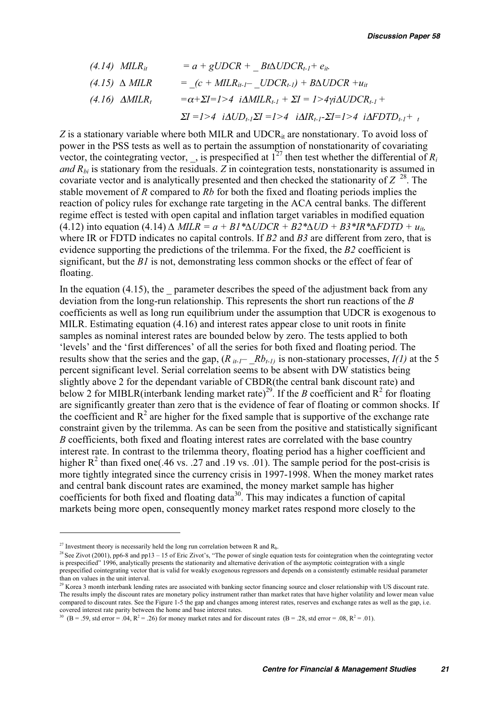$$
(4.14) \quad MLR_{it} = a + gUDCR + Bt\Delta UDCR_{t-1} + e_{it}.
$$
\n
$$
(4.15) \quad \Delta \quad MILR = (c + MILR_{it-1} - UDCR_{t-1}) + B\Delta UDCR + u_{it}
$$
\n
$$
(4.16) \quad \Delta MILR_{t} = \alpha + \Sigma I = I > 4 \quad i\Delta MILR_{t-1} + \Sigma I = I > 4 \quad \forall i\Delta UDCR_{t-1} + \Sigma I = I > 4 \quad i\Delta I R_{t-1} - \Sigma I = I > 4 \quad i\Delta F D T D_{t-1} + \sum I = I > 4 \quad i\Delta I R_{t-1} - \Sigma I = I > 4 \quad i\Delta F D T D_{t-1} + \sum I = I > 4 \quad i\Delta I R_{t-1} - \Sigma I = I > 4 \quad i\Delta F D T D_{t-1} + \sum I = I > 4 \quad i\Delta I R_{t-1} - \Sigma I = I > 4 \quad i\Delta I R_{t-1} - \Sigma I = I > 4 \quad i\Delta I R_{t-1} - \Sigma I = I > 4 \quad i\Delta I R_{t-1} - \Sigma I = I > 4 \quad i\Delta I R_{t-1} - \Sigma I = I > 4 \quad i\Delta I R_{t-1} - \Sigma I = I > 4 \quad i\Delta I R_{t-1} - \Sigma I = I > 4 \quad i\Delta I R_{t-1} - \Sigma I = I > 4 \quad i\Delta I R_{t-1} - \Sigma I = I > 4 \quad i\Delta I R_{t-1} - \Sigma I = I > 4 \quad i\Delta I R_{t-1} - \Sigma I = I > 4 \quad i\Delta I R_{t-1} - \Sigma I = 4 \quad i\Delta I R_{t-1} - \Sigma I = 4 \quad i\Delta I R_{t-1} - \Sigma I = 4 \quad i\Delta I R_{t-1} - \Sigma I = 4 \quad i\Delta I R_{t-1} - \Sigma I = 4 \quad i\Delta I R_{t-1} - \Sigma I = 4 \quad i\Delta I R_{t-1} - \Sigma I = 4 \quad i\Delta I R_{t-1} - \Sigma I = 4 \quad i\Delta I R_{t-1} - \Sigma I = 4 \quad i\Delta I R_{t-1} - \Sigma I = 4 \quad i\Delta I R_{t-1} - \Sigma I = 4 \quad i\Delta I R_{t-1}
$$

 $Z$  is a stationary variable where both MILR and UDCR<sub>it</sub> are nonstationary. To avoid loss of power in the PSS tests as well as to pertain the assumption of nonstationarity of covariating vector, the cointegrating vector,  $\overline{ }$ , is prespecified at  $1^{27}$  then test whether the differential of  $R_i$ and  $R_{bi}$  is stationary from the residuals. Z in cointegration tests, nonstationarity is assumed in covariate vector and is analytically presented and then checked the stationarity of  $Z^{28}$ . The stable movement of R compared to Rb for both the fixed and floating periods implies the reaction of policy rules for exchange rate targeting in the ACA central banks. The different regime effect is tested with open capital and inflation target variables in modified equation (4.12) into equation (4.14)  $\triangle$  MILR = a + B1\* $\triangle$ UDCR + B2\* $\triangle$ UD + B3\*IR\* $\triangle$ FDTD +  $u_{it}$ , where IR or FDTD indicates no capital controls. If B2 and B3 are different from zero, that is evidence supporting the predictions of the trilemma. For the fixed, the B2 coefficient is significant, but the  $B1$  is not, demonstrating less common shocks or the effect of fear of floating.

In the equation  $(4.15)$ , the parameter describes the speed of the adjustment back from any deviation from the long-run relationship. This represents the short run reactions of the  $\hat{B}$ coefficients as well as long run equilibrium under the assumption that UDCR is exogenous to MILR. Estimating equation (4.16) and interest rates appear close to unit roots in finite samples as nominal interest rates are bounded below by zero. The tests applied to both 'levels' and the 'first differences' of all the series for both fixed and floating period. The results show that the series and the gap,  $(R_{it-1} - Rb_{t-1})$  is non-stationary processes,  $I(1)$  at the 5 percent significant level. Serial correlation seems to be absent with DW statistics being slightly above 2 for the dependant variable of CBDR(the central bank discount rate) and below 2 for MIBLR(interbank lending market rate)<sup>29</sup>. If the B coefficient and R<sup>2</sup> for floating are significantly greater than zero that is the evidence of fear of floating or common shocks. If the coefficient and  $R^2$  are higher for the fixed sample that is supportive of the exchange rate constraint given by the trilemma. As can be seen from the positive and statistically significant B coefficients, both fixed and floating interest rates are correlated with the base country interest rate. In contrast to the trilemma theory, floating period has a higher coefficient and higher  $R^2$  than fixed one(.46 vs. .27 and .19 vs. .01). The sample period for the post-crisis is more tightly integrated since the currency crisis in 1997-1998. When the money market rates and central bank discount rates are examined, the money market sample has higher coefficients for both fixed and floating data<sup>30</sup>. This may indicates a function of capital markets being more open, consequently money market rates respond more closely to the

<sup>&</sup>lt;sup>27</sup> Investment theory is necessarily held the long run correlation between R and  $R_b$ .

<sup>&</sup>lt;sup>28</sup> See Zivot (2001), pp6-8 and pp13 – 15 of Eric Zivot's, "The power of single equation tests for cointegration when the cointegrating vector is prespecified" 1996, analytically presents the stationarity and alternative derivation of the asymptotic cointegration with a single prespecified cointegrating vector that is valid for weakly exogenous regressors and depends on a consistently estimable residual parameter than on values in the unit interval.

<sup>&</sup>lt;sup>29</sup> Korea 3 month interbank lending rates are associated with banking sector financing source and closer relationship with US discount rate. The results imply the discount rates are monetary policy instrument rather than market rates that have higher volatility and lower mean value compared to discount rates. See the Figure 1-5 the gap and changes among interest rates, reserves and exchange rates as well as the gap, i.e. covered interest rate parity between the home and base interest rates.

<sup>&</sup>lt;sup>30</sup> (B = .59, std error = .04, R<sup>2</sup> = .26) for money market rates and for discount rates (B = .28, std error = .08, R<sup>2</sup> = .01).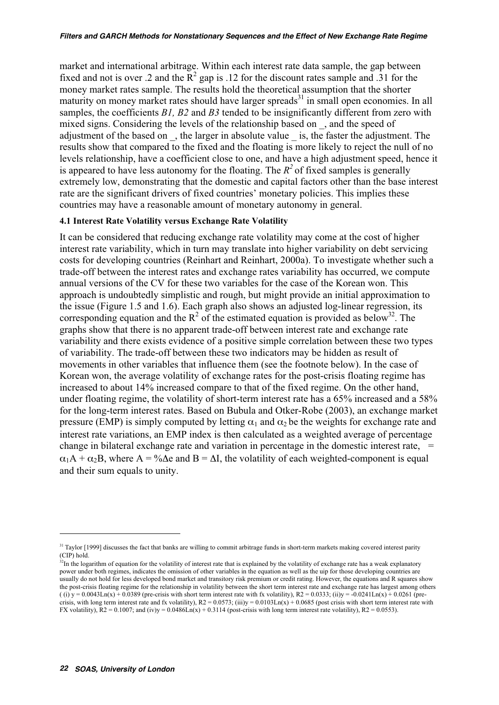market and international arbitrage. Within each interest rate data sample, the gap between fixed and not is over .2 and the  $R^2$  gap is .12 for the discount rates sample and .31 for the money market rates sample. The results hold the theoretical assumption that the shorter maturity on money market rates should have larger spreads $31$  in small open economies. In all samples, the coefficients  $B1$ ,  $B2$  and  $B3$  tended to be insignificantly different from zero with mixed signs. Considering the levels of the relationship based on \_, and the speed of adjustment of the based on, the larger in absolute value is, the faster the adjustment. The results show that compared to the fixed and the floating is more likely to reject the null of no levels relationship, have a coefficient close to one, and have a high adjustment speed, hence it is appeared to have less autonomy for the floating. The  $R^2$  of fixed samples is generally extremely low, demonstrating that the domestic and capital factors other than the base interest rate are the significant drivers of fixed countries' monetary policies. This implies these countries may have a reasonable amount of monetary autonomy in general.

#### 4.1 Interest Rate Volatility versus Exchange Rate Volatility

It can be considered that reducing exchange rate volatility may come at the cost of higher interest rate variability, which in turn may translate into higher variability on debt servicing costs for developing countries (Reinhart and Reinhart, 2000a). To investigate whether such a trade-off between the interest rates and exchange rates variability has occurred, we compute annual versions of the CV for these two variables for the case of the Korean won. This approach is undoubtedly simplistic and rough, but might provide an initial approximation to the issue (Figure 1.5 and 1.6). Each graph also shows an adjusted log-linear regression, its corresponding equation and the  $R^2$  of the estimated equation is provided as below<sup>32</sup>. The graphs show that there is no apparent trade-off between interest rate and exchange rate variability and there exists evidence of a positive simple correlation between these two types of variability. The trade-off between these two indicators may be hidden as result of movements in other variables that influence them (see the footnote below). In the case of Korean won, the average volatility of exchange rates for the post-crisis floating regime has increased to about 14% increased compare to that of the fixed regime. On the other hand, under floating regime, the volatility of short-term interest rate has a 65% increased and a 58% for the long-term interest rates. Based on Bubula and Otker-Robe (2003), an exchange market pressure (EMP) is simply computed by letting  $\alpha_1$  and  $\alpha_2$  be the weights for exchange rate and interest rate variations, an EMP index is then calculated as a weighted average of percentage change in bilateral exchange rate and variation in percentage in the domestic interest rate, =  $\alpha_1 A + \alpha_2 B$ , where  $A = \frac{0}{2} \Delta e$  and  $B = \Delta I$ , the volatility of each weighted-component is equal and their sum equals to unity.

<sup>&</sup>lt;sup>31</sup> Taylor [1999] discusses the fact that banks are willing to commit arbitrage funds in short-term markets making covered interest parity (CIP) hold.

 $32$ In the logarithm of equation for the volatility of interest rate that is explained by the volatility of exchange rate has a weak explanatory power under both regimes, indicates the omission of other variables in the equation as well as the uip for those developing countries are usually do not hold for less developed bond market and transitory risk premium or credit rating. However, the equations and R squares show the post-crisis floating regime for the relationship in volatility between the short term interest rate and exchange rate has largest among others  $($  (i) y = 0.0043Ln(x) + 0.0389 (pre-crisis with short term interest rate with fx volatility), R2 = 0.0333; (ii)y = -0.0241Ln(x) + 0.0261 (precrisis, with long term interest rate and fx volatility),  $R2 = 0.0573$ ; (iii)y = 0.0103Ln(x) + 0.0685 (post crisis with short term interest rate with FX volatility),  $R2 = 0.1007$ ; and (iv)y =  $0.0486Ln(x) + 0.3114$  (post-crisis with long term interest rate volatility),  $R2 = 0.0553$ ).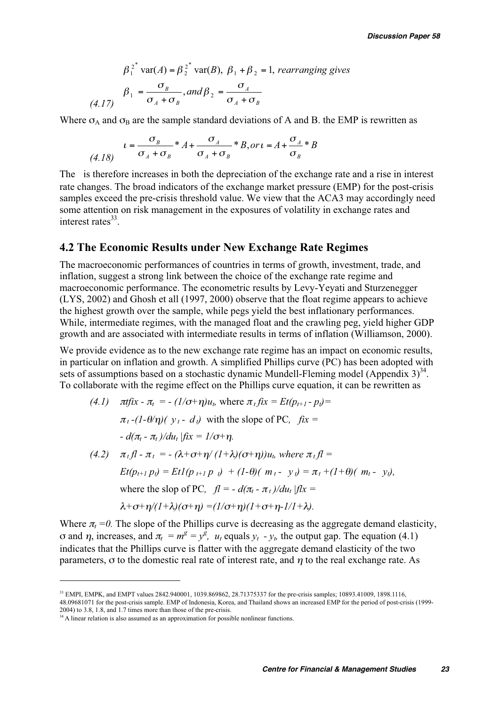$$
\beta_1^{2^*} \text{var}(A) = \beta_2^{2^*} \text{var}(B), \ \beta_1 + \beta_2 = 1, \text{ rearranging gives}
$$
\n
$$
\beta_1 = \frac{\sigma_B}{\sigma_A + \sigma_B}, \text{and } \beta_2 = \frac{\sigma_A}{\sigma_A + \sigma_B}
$$

Where  $\sigma_A$  and  $\sigma_B$  are the sample standard deviations of A and B. the EMP is rewritten as

$$
t = \frac{\sigma_B}{\sigma_A + \sigma_B} * A + \frac{\sigma_A}{\sigma_A + \sigma_B} * B, or t = A + \frac{\sigma_A}{\sigma_B} * B
$$

The is therefore increases in both the depreciation of the exchange rate and a rise in interest rate changes. The broad indicators of the exchange market pressure (EMP) for the post-crisis samples exceed the pre-crisis threshold value. We view that the ACA3 may accordingly need some attention on risk management in the exposures of volatility in exchange rates and interest rates $^{33}$ 

#### 4.2 The Economic Results under New Exchange Rate Regimes

The macroeconomic performances of countries in terms of growth, investment, trade, and inflation, suggest a strong link between the choice of the exchange rate regime and macroeconomic performance. The econometric results by Levy-Yeyati and Sturzenegger (LYS, 2002) and Ghosh et all (1997, 2000) observe that the float regime appears to achieve the highest growth over the sample, while pegs yield the best inflationary performances. While, intermediate regimes, with the managed float and the crawling peg, yield higher GDP growth and are associated with intermediate results in terms of inflation (Williamson, 2000).

We provide evidence as to the new exchange rate regime has an impact on economic results, in particular on inflation and growth. A simplified Phillips curve (PC) has been adopted with sets of assumptions based on a stochastic dynamic Mundell-Fleming model (Appendix  $3^{34}$ . To collaborate with the regime effect on the Phillips curve equation, it can be rewritten as

\n- (4.1) 
$$
\pi t \hat{f} x - \pi_t = -\frac{1}{\sigma + \eta} u_t
$$
, where  $\pi_t f \hat{i} x = E t (p_{t+1} - p_t) =$  $\pi_t - \frac{1 - \theta}{\eta} \left( y_t - d_t \right)$  with the slope of PC,  $f \hat{i} x = -\frac{d}{\pi_t - \pi_t} \frac{d}{dt}$  for  $t = \frac{1}{\sigma + \eta}$ .
\n- (4.2)  $\pi_t f - \pi_t = -\frac{\lambda + \sigma + \eta}{1 + \lambda} \frac{(\sigma + \eta)}{\mu_t}$ , where  $\pi_t f = E t (p_{t+1} p_t) = E t \left( p_{t+1} p_t \right) + \frac{1 - \theta}{\pi_t - y_t} = \pi_t + \frac{1 + \theta}{\pi_t - y_t}$ , where the slope of PC,  $f = -\frac{d}{\pi_t - \pi_t} \frac{d}{d\pi_t} \left( f \hat{i} x + \frac{1 - \theta}{\pi_t - \eta} \right)$ , where  $f \in \mathbb{R}$  for  $t = \frac{1}{\sigma + \eta} \left( \frac{1 + \theta}{\tau + \eta} \right)$ .
\n

Where  $\pi_t = 0$ . The slope of the Phillips curve is decreasing as the aggregate demand elasticity,  $\sigma$  and  $\eta$ , increases, and  $\pi_t = m^g = y^g$ ,  $u_t$  equals  $y_t - y_t$ , the output gap. The equation (4.1) indicates that the Phillips curve is flatter with the aggregate demand elasticity of the two parameters,  $\sigma$  to the domestic real rate of interest rate, and  $\eta$  to the real exchange rate. As

<sup>33</sup> EMPI, EMPK, and EMPT values 2842.940001, 1039.869862, 28.71375337 for the pre-crisis samples; 10893.41009, 1898.1116, 48.09681071 for the post-crisis sample. EMP of Indonesia, Korea, and Thailand shows an increased EMP for the period of post-crisis (1999- 2004) to 3.8, 1.8, and 1.7 times more than those of the pre-crisis.

<sup>&</sup>lt;sup>34</sup> A linear relation is also assumed as an approximation for possible nonlinear functions.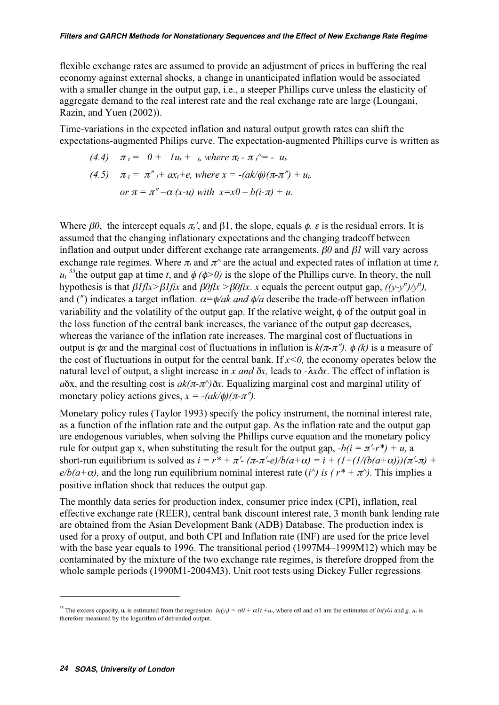flexible exchange rates are assumed to provide an adjustment of prices in buffering the real economy against external shocks, a change in unanticipated inflation would be associated with a smaller change in the output gap, *i.e.*, a steeper Phillips curve unless the elasticity of aggregate demand to the real interest rate and the real exchange rate are large (Loungani, Razin, and Yuen (2002)).

Time-variations in the expected inflation and natural output growth rates can shift the expectations-augmented Philips curve. The expectation-augmented Phillips curve is written as

(4.4) 
$$
\pi_t = 0 + \lambda u_t + \lambda v
$$
, where  $\pi_t - \pi_t^* = -\mu_t$ .  
\n(4.5)  $\pi_t = \pi''_t + ax_t + e$ , where  $x = -(ak/\phi)(\pi - \pi'') + \mu_t$ .  
\nor  $\pi = \pi'' - \alpha$  (*x*-*u*) with  $x = x0 - b(i-\pi) + \mu$ .

Where  $\beta \theta$ , the intercept equals  $\pi t$ , and  $\beta$ 1, the slope, equals  $\phi$ .  $\varepsilon$  is the residual errors. It is assumed that the changing inflationary expectations and the changing tradeoff between inflation and output under different exchange rate arrangements,  $\beta\theta$  and  $\beta\theta$  will vary across exchange rate regimes. Where  $\pi_t$  and  $\pi^{\wedge}$  are the actual and expected rates of inflation at time t,  $u_t$ <sup>35</sup>the output gap at time t, and  $\phi$  ( $\phi$ >0) is the slope of the Phillips curve. In theory, the null hypothesis is that  $\beta l f dx > \beta l f dx$  and  $\beta l f dx > \beta l f dx$ . x equals the percent output gap,  $((y-y^n)/y^n)$ , and (") indicates a target inflation.  $\alpha = \phi/ak$  and  $\phi/a$  describe the trade-off between inflation variability and the volatility of the output gap. If the relative weight,  $\phi$  of the output goal in the loss function of the central bank increases, the variance of the output gap decreases, whereas the variance of the inflation rate increases. The marginal cost of fluctuations in output is  $\phi x$  and the marginal cost of fluctuations in inflation is  $k(\pi-\pi'')$ .  $\phi(k)$  is a measure of the cost of fluctuations in output for the central bank. If  $x<0$ , the economy operates below the natural level of output, a slight increase in x and  $\delta x$ , leads to - $\lambda x \delta x$ . The effect of inflation is  $a\delta x$ , and the resulting cost is  $ak(\pi-\pi)\delta x$ . Equalizing marginal cost and marginal utility of monetary policy actions gives,  $x = -(ak/\phi)(\pi-\pi'')$ .

Monetary policy rules (Taylor 1993) specify the policy instrument, the nominal interest rate, as a function of the inflation rate and the output gap. As the inflation rate and the output gap are endogenous variables, when solving the Phillips curve equation and the monetary policy rule for output gap x, when substituting the result for the output gap,  $-b(i = \pi' - r^*) + u$ , a short-run equilibrium is solved as  $i = r^* + \pi/(\pi \cdot \pi' - e)/b(a+\alpha) = i + (1+(1/(b(a+\alpha)))(\pi' - \pi) +$  $e/b(a+\alpha)$ , and the long run equilibrium nominal interest rate (i<sup> $\wedge$ </sup>) is ( $r^* + \pi^{\wedge}$ ). This implies a positive inflation shock that reduces the output gap.

The monthly data series for production index, consumer price index (CPI), inflation, real effective exchange rate (REER), central bank discount interest rate, 3 month bank lending rate are obtained from the Asian Development Bank (ADB) Database. The production index is used for a proxy of output, and both CPI and Inflation rate (INF) are used for the price level with the base year equals to 1996. The transitional period (1997M4–1999M12) which may be contaminated by the mixture of the two exchange rate regimes, is therefore dropped from the whole sample periods (1990M1-2004M3). Unit root tests using Dickey Fuller regressions

<sup>&</sup>lt;sup>35</sup> The excess capacity,  $u_t$  is estimated from the regression:  $ln(y_v) = \alpha 0 + \alpha 1t + u_t$ , where  $\alpha 0$  and  $\alpha 1$  are the estimates of  $ln(y0)$  and g.  $u_t$  is therefore measured by the logarithm of detrended output.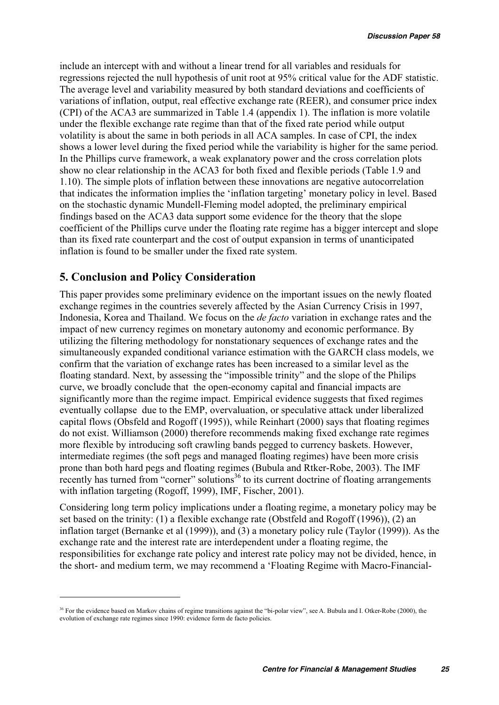include an intercept with and without a linear trend for all variables and residuals for regressions rejected the null hypothesis of unit root at 95% critical value for the ADF statistic. The average level and variability measured by both standard deviations and coefficients of variations of inflation, output, real effective exchange rate (REER), and consumer price index (CPI) of the ACA3 are summarized in Table 1.4 (appendix 1). The inflation is more volatile under the flexible exchange rate regime than that of the fixed rate period while output volatility is about the same in both periods in all ACA samples. In case of CPI, the index shows a lower level during the fixed period while the variability is higher for the same period. In the Phillips curve framework, a weak explanatory power and the cross correlation plots show no clear relationship in the ACA3 for both fixed and flexible periods (Table 1.9 and 1.10). The simple plots of inflation between these innovations are negative autocorrelation that indicates the information implies the 'inflation targeting' monetary policy in level. Based on the stochastic dynamic Mundell-Fleming model adopted, the preliminary empirical findings based on the ACA3 data support some evidence for the theory that the slope coefficient of the Phillips curve under the floating rate regime has a bigger intercept and slope than its fixed rate counterpart and the cost of output expansion in terms of unanticipated inflation is found to be smaller under the fixed rate system.

# 5. Conclusion and Policy Consideration

This paper provides some preliminary evidence on the important issues on the newly floated exchange regimes in the countries severely affected by the Asian Currency Crisis in 1997, Indonesia, Korea and Thailand. We focus on the de facto variation in exchange rates and the impact of new currency regimes on monetary autonomy and economic performance. By utilizing the filtering methodology for nonstationary sequences of exchange rates and the simultaneously expanded conditional variance estimation with the GARCH class models, we confirm that the variation of exchange rates has been increased to a similar level as the floating standard. Next, by assessing the "impossible trinity" and the slope of the Philips curve, we broadly conclude that the open-economy capital and financial impacts are significantly more than the regime impact. Empirical evidence suggests that fixed regimes eventually collapse due to the EMP, overvaluation, or speculative attack under liberalized capital flows (Obsfeld and Rogoff (1995)), while Reinhart (2000) says that floating regimes do not exist. Williamson (2000) therefore recommends making fixed exchange rate regimes more flexible by introducing soft crawling bands pegged to currency baskets. However, intermediate regimes (the soft pegs and managed floating regimes) have been more crisis prone than both hard pegs and floating regimes (Bubula and Rtker-Robe, 2003). The IMF recently has turned from "corner" solutions<sup>36</sup> to its current doctrine of floating arrangements with inflation targeting (Rogoff, 1999), IMF, Fischer, 2001).

Considering long term policy implications under a floating regime, a monetary policy may be set based on the trinity: (1) a flexible exchange rate (Obstfeld and Rogoff (1996)), (2) an inflation target (Bernanke et al (1999)), and (3) a monetary policy rule (Taylor (1999)). As the exchange rate and the interest rate are interdependent under a floating regime, the responsibilities for exchange rate policy and interest rate policy may not be divided, hence, in the short- and medium term, we may recommend a 'Floating Regime with Macro-Financial-

<sup>&</sup>lt;sup>36</sup> For the evidence based on Markov chains of regime transitions against the "bi-polar view", see A. Bubula and I. Otker-Robe (2000), the evolution of exchange rate regimes since 1990: evidence form de facto policies.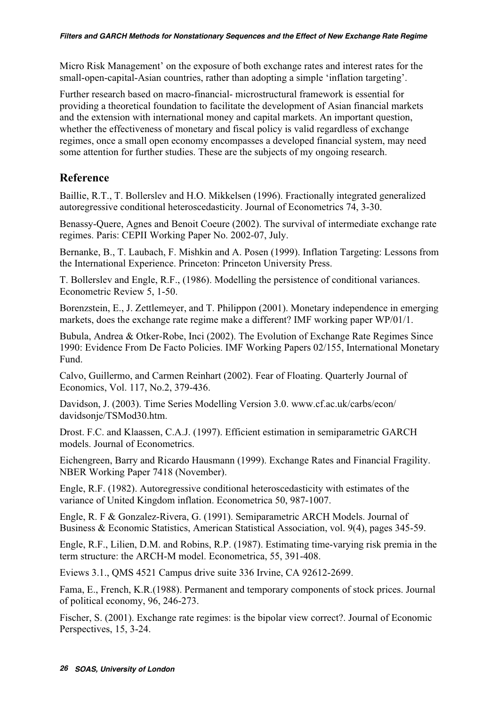Micro Risk Management' on the exposure of both exchange rates and interest rates for the small-open-capital-Asian countries, rather than adopting a simple 'inflation targeting'.

Further research based on macro-financial- microstructural framework is essential for providing a theoretical foundation to facilitate the development of Asian financial markets and the extension with international money and capital markets. An important question, whether the effectiveness of monetary and fiscal policy is valid regardless of exchange regimes, once a small open economy encompasses a developed financial system, may need some attention for further studies. These are the subjects of my ongoing research.

# Reference

Baillie, R.T., T. Bollerslev and H.O. Mikkelsen (1996). Fractionally integrated generalized autoregressive conditional heteroscedasticity. Journal of Econometrics 74, 3-30.

Benassy-Quere, Agnes and Benoit Coeure (2002). The survival of intermediate exchange rate regimes. Paris: CEPII Working Paper No. 2002-07, July.

Bernanke, B., T. Laubach, F. Mishkin and A. Posen (1999). Inflation Targeting: Lessons from the International Experience. Princeton: Princeton University Press.

T. Bollerslev and Engle, R.F., (1986). Modelling the persistence of conditional variances. Econometric Review 5, 1-50.

Borenzstein, E., J. Zettlemeyer, and T. Philippon (2001). Monetary independence in emerging markets, does the exchange rate regime make a different? IMF working paper WP/01/1.

Bubula, Andrea & Otker-Robe, Inci (2002). The Evolution of Exchange Rate Regimes Since 1990: Evidence From De Facto Policies. IMF Working Papers 02/155, International Monetary Fund.

Calvo, Guillermo, and Carmen Reinhart (2002). Fear of Floating. Quarterly Journal of Economics, Vol. 117, No.2, 379-436.

Davidson, J. (2003). Time Series Modelling Version 3.0. www.cf.ac.uk/carbs/econ/ davidsonje/TSMod30.htm.

Drost. F.C. and Klaassen, C.A.J. (1997). Efficient estimation in semiparametric GARCH models. Journal of Econometrics.

Eichengreen, Barry and Ricardo Hausmann (1999). Exchange Rates and Financial Fragility. NBER Working Paper 7418 (November).

Engle, R.F. (1982). Autoregressive conditional heteroscedasticity with estimates of the variance of United Kingdom inflation. Econometrica 50, 987-1007.

Engle, R. F & Gonzalez-Rivera, G. (1991). Semiparametric ARCH Models. Journal of Business & Economic Statistics, American Statistical Association, vol. 9(4), pages 345-59.

Engle, R.F., Lilien, D.M. and Robins, R.P. (1987). Estimating time-varying risk premia in the term structure: the ARCH-M model. Econometrica, 55, 391-408.

Eviews 3.1., QMS 4521 Campus drive suite 336 Irvine, CA 92612-2699.

Fama, E., French, K.R.(1988). Permanent and temporary components of stock prices. Journal of political economy, 96, 246-273.

Fischer, S. (2001). Exchange rate regimes: is the bipolar view correct?. Journal of Economic Perspectives, 15, 3-24.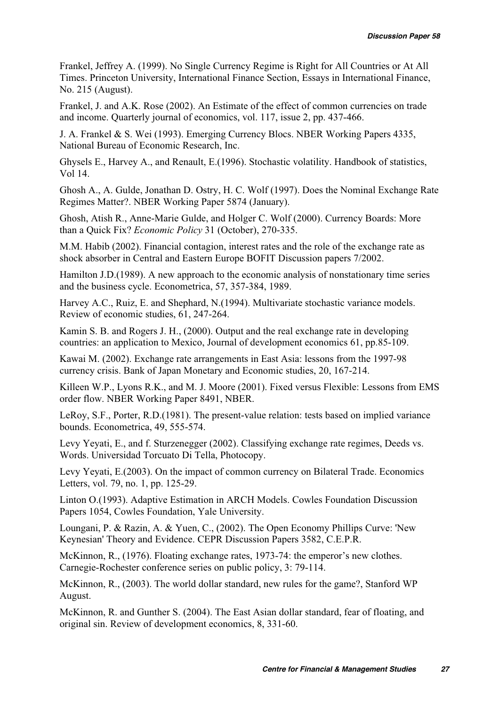Frankel, Jeffrey A. (1999). No Single Currency Regime is Right for All Countries or At All Times. Princeton University, International Finance Section, Essays in International Finance, No. 215 (August).

Frankel, J. and A.K. Rose (2002). An Estimate of the effect of common currencies on trade and income. Quarterly journal of economics, vol. 117, issue 2, pp. 437-466.

J. A. Frankel & S. Wei (1993). Emerging Currency Blocs. NBER Working Papers 4335, National Bureau of Economic Research, Inc.

Ghysels E., Harvey A., and Renault, E.(1996). Stochastic volatility. Handbook of statistics, Vol 14.

Ghosh A., A. Gulde, Jonathan D. Ostry, H. C. Wolf (1997). Does the Nominal Exchange Rate Regimes Matter?. NBER Working Paper 5874 (January).

Ghosh, Atish R., Anne-Marie Gulde, and Holger C. Wolf (2000). Currency Boards: More than a Quick Fix? Economic Policy 31 (October), 270-335.

M.M. Habib (2002). Financial contagion, interest rates and the role of the exchange rate as shock absorber in Central and Eastern Europe BOFIT Discussion papers 7/2002.

Hamilton J.D.(1989). A new approach to the economic analysis of nonstationary time series and the business cycle. Econometrica, 57, 357-384, 1989.

Harvey A.C., Ruiz, E. and Shephard, N.(1994). Multivariate stochastic variance models. Review of economic studies, 61, 247-264.

Kamin S. B. and Rogers J. H., (2000). Output and the real exchange rate in developing countries: an application to Mexico, Journal of development economics 61, pp.85-109.

Kawai M. (2002). Exchange rate arrangements in East Asia: lessons from the 1997-98 currency crisis. Bank of Japan Monetary and Economic studies, 20, 167-214.

Killeen W.P., Lyons R.K., and M. J. Moore (2001). Fixed versus Flexible: Lessons from EMS order flow. NBER Working Paper 8491, NBER.

LeRoy, S.F., Porter, R.D.(1981). The present-value relation: tests based on implied variance bounds. Econometrica, 49, 555-574.

Levy Yeyati, E., and f. Sturzenegger (2002). Classifying exchange rate regimes, Deeds vs. Words. Universidad Torcuato Di Tella, Photocopy.

Levy Yeyati, E.(2003). On the impact of common currency on Bilateral Trade. Economics Letters, vol. 79, no. 1, pp. 125-29.

Linton O.(1993). Adaptive Estimation in ARCH Models. Cowles Foundation Discussion Papers 1054, Cowles Foundation, Yale University.

Loungani, P. & Razin, A. & Yuen, C., (2002). The Open Economy Phillips Curve: 'New Keynesian' Theory and Evidence. CEPR Discussion Papers 3582, C.E.P.R.

McKinnon, R., (1976). Floating exchange rates, 1973-74: the emperor's new clothes. Carnegie-Rochester conference series on public policy, 3: 79-114.

McKinnon, R., (2003). The world dollar standard, new rules for the game?, Stanford WP August.

McKinnon, R. and Gunther S. (2004). The East Asian dollar standard, fear of floating, and original sin. Review of development economics, 8, 331-60.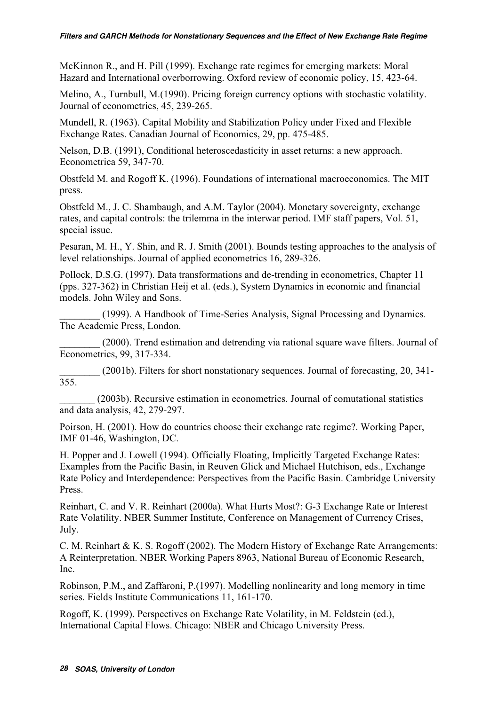McKinnon R., and H. Pill (1999). Exchange rate regimes for emerging markets: Moral Hazard and International overborrowing. Oxford review of economic policy, 15, 423-64.

Melino, A., Turnbull, M.(1990). Pricing foreign currency options with stochastic volatility. Journal of econometrics, 45, 239-265.

Mundell, R. (1963). Capital Mobility and Stabilization Policy under Fixed and Flexible Exchange Rates. Canadian Journal of Economics, 29, pp. 475-485.

Nelson, D.B. (1991), Conditional heteroscedasticity in asset returns: a new approach. Econometrica 59, 347-70.

Obstfeld M. and Rogoff K. (1996). Foundations of international macroeconomics. The MIT press.

Obstfeld M., J. C. Shambaugh, and A.M. Taylor (2004). Monetary sovereignty, exchange rates, and capital controls: the trilemma in the interwar period. IMF staff papers, Vol. 51, special issue.

Pesaran, M. H., Y. Shin, and R. J. Smith (2001). Bounds testing approaches to the analysis of level relationships. Journal of applied econometrics 16, 289-326.

Pollock, D.S.G. (1997). Data transformations and de-trending in econometrics, Chapter 11 (pps. 327-362) in Christian Heij et al. (eds.), System Dynamics in economic and financial models. John Wiley and Sons.

\_\_\_\_\_\_\_\_ (1999). A Handbook of Time-Series Analysis, Signal Processing and Dynamics. The Academic Press, London.

(2000). Trend estimation and detrending via rational square wave filters. Journal of Econometrics, 99, 317-334.

(2001b). Filters for short nonstationary sequences. Journal of forecasting, 20, 341-355.

\_\_\_\_\_\_\_ (2003b). Recursive estimation in econometrics. Journal of comutational statistics and data analysis, 42, 279-297.

Poirson, H. (2001). How do countries choose their exchange rate regime?. Working Paper, IMF 01-46, Washington, DC.

H. Popper and J. Lowell (1994). Officially Floating, Implicitly Targeted Exchange Rates: Examples from the Pacific Basin, in Reuven Glick and Michael Hutchison, eds., Exchange Rate Policy and Interdependence: Perspectives from the Pacific Basin. Cambridge University Press.

Reinhart, C. and V. R. Reinhart (2000a). What Hurts Most?: G-3 Exchange Rate or Interest Rate Volatility. NBER Summer Institute, Conference on Management of Currency Crises, July.

C. M. Reinhart & K. S. Rogoff (2002). The Modern History of Exchange Rate Arrangements: A Reinterpretation. NBER Working Papers 8963, National Bureau of Economic Research, Inc.

Robinson, P.M., and Zaffaroni, P.(1997). Modelling nonlinearity and long memory in time series. Fields Institute Communications 11, 161-170.

Rogoff, K. (1999). Perspectives on Exchange Rate Volatility, in M. Feldstein (ed.), International Capital Flows. Chicago: NBER and Chicago University Press.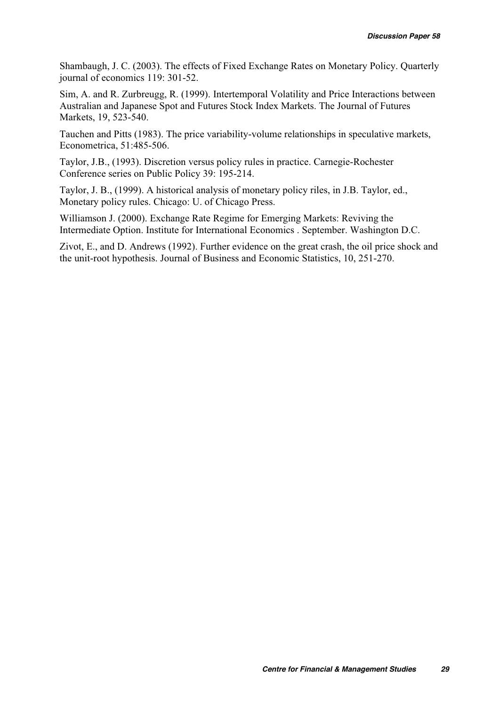Shambaugh, J. C. (2003). The effects of Fixed Exchange Rates on Monetary Policy. Quarterly journal of economics 119: 301-52.

Sim, A. and R. Zurbreugg, R. (1999). Intertemporal Volatility and Price Interactions between Australian and Japanese Spot and Futures Stock Index Markets. The Journal of Futures Markets, 19, 523-540.

Tauchen and Pitts (1983). The price variability-volume relationships in speculative markets, Econometrica, 51:485-506.

Taylor, J.B., (1993). Discretion versus policy rules in practice. Carnegie-Rochester Conference series on Public Policy 39: 195-214.

Taylor, J. B., (1999). A historical analysis of monetary policy riles, in J.B. Taylor, ed., Monetary policy rules. Chicago: U. of Chicago Press.

Williamson J. (2000). Exchange Rate Regime for Emerging Markets: Reviving the Intermediate Option. Institute for International Economics . September. Washington D.C.

Zivot, E., and D. Andrews (1992). Further evidence on the great crash, the oil price shock and the unit-root hypothesis. Journal of Business and Economic Statistics, 10, 251-270.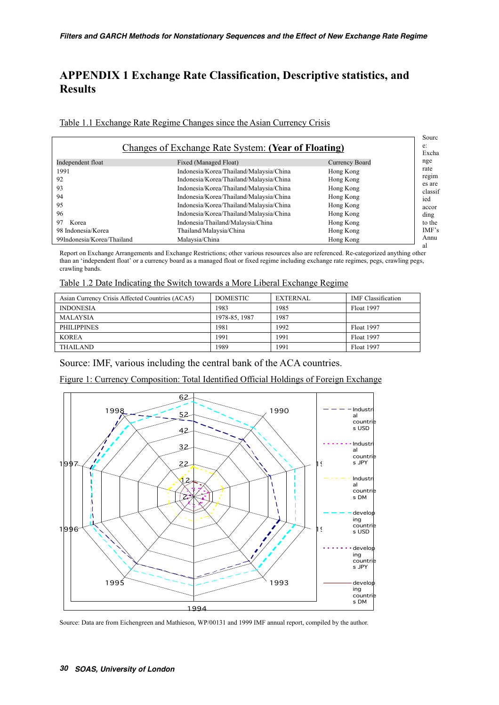# APPENDIX 1 Exchange Rate Classification, Descriptive statistics, and **Results**

Table 1.1 Exchange Rate Regime Changes since the Asian Currency Crisis

| Changes of Exchange Rate System: (Year of Floating) |                                         |                |  |  |
|-----------------------------------------------------|-----------------------------------------|----------------|--|--|
| Independent float                                   | Fixed (Managed Float)                   | Currency Board |  |  |
| 1991                                                | Indonesia/Korea/Thailand/Malaysia/China | Hong Kong      |  |  |
| 92                                                  | Indonesia/Korea/Thailand/Malaysia/China | Hong Kong      |  |  |
| 93                                                  | Indonesia/Korea/Thailand/Malaysia/China | Hong Kong      |  |  |
| 94                                                  | Indonesia/Korea/Thailand/Malaysia/China | Hong Kong      |  |  |
| 95                                                  | Indonesia/Korea/Thailand/Malaysia/China | Hong Kong      |  |  |
| 96                                                  | Indonesia/Korea/Thailand/Malaysia/China | Hong Kong      |  |  |
| Korea<br>97                                         | Indonesia/Thailand/Malaysia/China       | Hong Kong      |  |  |
| 98 Indonesia/Korea                                  | Thailand/Malaysia/China                 | Hong Kong      |  |  |
| 99Indonesia/Korea/Thailand                          | Malaysia/China                          | Hong Kong      |  |  |

Report on Exchange Arrangements and Exchange Restrictions; other various resources also are referenced. Re-categorized anything other than an 'independent float' or a currency board as a managed float or fixed regime including exchange rate regimes, pegs, crawling pegs, crawling bands.

| Table 1.2 Date Indicating the Switch towards a More Liberal Exchange Regime |
|-----------------------------------------------------------------------------|
|-----------------------------------------------------------------------------|

| Asian Currency Crisis Affected Countries (ACA5) | <b>DOMESTIC</b> | <b>EXTERNAL</b> | <b>IMF</b> Classification |
|-------------------------------------------------|-----------------|-----------------|---------------------------|
| <b>INDONESIA</b>                                | 1983            | 1985            | <b>Float 1997</b>         |
| <b>MALAYSIA</b>                                 | 1978-85, 1987   | 1987            |                           |
| <b>PHILIPPINES</b>                              | 1981            | 1992            | <b>Float 1997</b>         |
| <b>KOREA</b>                                    | 1991            | 1991            | <b>Float 1997</b>         |
| <b>THAILAND</b>                                 | 1989            | 1991            | <b>Float 1997</b>         |

Source: IMF, various including the central bank of the ACA countries.

Figure 1: Currency Composition: Total Identified Official Holdings of Foreign Exchange



Source: Data are from Eichengreen and Mathieson, WP/00131 and 1999 IMF annual report, compiled by the author.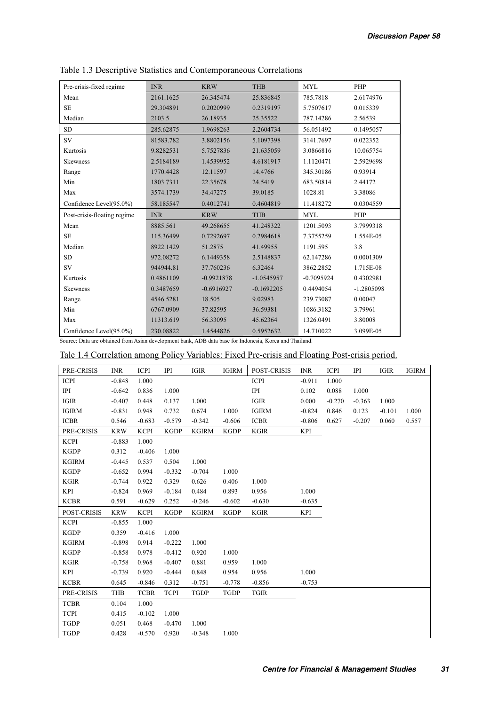| Pre-crisis-fixed regime     | <b>INR</b> | <b>KRW</b>   | <b>THB</b>   | <b>MYL</b>   | PHP          |
|-----------------------------|------------|--------------|--------------|--------------|--------------|
| Mean                        | 2161.1625  | 26.345474    | 25.836845    | 785.7818     | 2.6174976    |
| <b>SE</b>                   | 29.304891  | 0.2020999    | 0.2319197    | 5.7507617    | 0.015339     |
| Median                      | 2103.5     | 26.18935     | 25.35522     | 787.14286    | 2.56539      |
| <b>SD</b>                   | 285.62875  | 1.9698263    | 2.2604734    | 56.051492    | 0.1495057    |
| <b>SV</b>                   | 81583.782  | 3.8802156    | 5.1097398    | 3141.7697    | 0.022352     |
| Kurtosis                    | 9.8282531  | 5.7527836    | 21.635059    | 3.0866816    | 10.065754    |
| <b>Skewness</b>             | 2.5184189  | 1.4539952    | 4.6181917    | 1.1120471    | 2.5929698    |
| Range                       | 1770.4428  | 12.11597     | 14.4766      | 345.30186    | 0.93914      |
| Min                         | 1803.7311  | 22.35678     | 24.5419      | 683.50814    | 2.44172      |
| Max                         | 3574.1739  | 34.47275     | 39.0185      | 1028.81      | 3.38086      |
| Confidence Level(95.0%)     | 58.185547  | 0.4012741    | 0.4604819    | 11.418272    | 0.0304559    |
| Post-crisis-floating regime | <b>INR</b> | <b>KRW</b>   | <b>THB</b>   | <b>MYL</b>   | PHP          |
| Mean                        | 8885.561   | 49.268655    | 41.248322    | 1201.5093    | 3.7999318    |
| <b>SE</b>                   | 115.36499  | 0.7292697    | 0.2984618    | 7.3755259    | 1.554E-05    |
| Median                      | 8922.1429  | 51.2875      | 41.49955     | 1191.595     | 3.8          |
| <b>SD</b>                   | 972.08272  | 6.1449358    | 2.5148837    | 62.147286    | 0.0001309    |
| <b>SV</b>                   | 944944.81  | 37.760236    | 6.32464      | 3862.2852    | 1.715E-08    |
| Kurtosis                    | 0.4861109  | $-0.9921878$ | $-1.0545957$ | $-0.7095924$ | 0.4302981    |
| <b>Skewness</b>             | 0.3487659  | $-0.6916927$ | $-0.1692205$ | 0.4494054    | $-1.2805098$ |
| Range                       | 4546.5281  | 18.505       | 9.02983      | 239.73087    | 0.00047      |
| Min                         | 6767.0909  | 37.82595     | 36.59381     | 1086.3182    | 3.79961      |
| Max                         | 11313.619  | 56.33095     | 45.62364     | 1326.0491    | 3.80008      |
| Confidence Level(95.0%)     | 230.08822  | 1.4544826    | 0.5952632    | 14.710022    | 3.099E-05    |

Table 1.3 Descriptive Statistics and Contemporaneous Correlations

Source: Data are obtained from Asian development bank, ADB data base for Indonesia, Korea and Thailand.

|  | Tale 1.4 Correlation among Policy Variables: Fixed Pre-crisis and Floating Post-crisis period. |  |
|--|------------------------------------------------------------------------------------------------|--|
|  |                                                                                                |  |

| PRE-CRISIS   | <b>INR</b> | <b>ICPI</b> | IPI         | IGIR         | <b>IGIRM</b> | POST-CRISIS  | <b>INR</b> | ICPI     | IPI      | IGIR     | <b>IGIRM</b> |
|--------------|------------|-------------|-------------|--------------|--------------|--------------|------------|----------|----------|----------|--------------|
| <b>ICPI</b>  | $-0.848$   | 1.000       |             |              |              | <b>ICPI</b>  | $-0.911$   | 1.000    |          |          |              |
| IPI          | $-0.642$   | 0.836       | 1.000       |              |              | IPI          | 0.102      | 0.088    | 1.000    |          |              |
| IGIR         | $-0.407$   | 0.448       | 0.137       | 1.000        |              | <b>IGIR</b>  | 0.000      | $-0.270$ | $-0.363$ | 1.000    |              |
| <b>IGIRM</b> | $-0.831$   | 0.948       | 0.732       | 0.674        | 1.000        | <b>IGIRM</b> | $-0.824$   | 0.846    | 0.123    | $-0.101$ | 1.000        |
| <b>ICBR</b>  | 0.546      | $-0.683$    | $-0.579$    | $-0.342$     | $-0.606$     | <b>ICBR</b>  | $-0.806$   | 0.627    | $-0.207$ | 0.060    | 0.557        |
| PRE-CRISIS   | <b>KRW</b> | <b>KCPI</b> | <b>KGDP</b> | <b>KGIRM</b> | <b>KGDP</b>  | <b>KGIR</b>  | KPI        |          |          |          |              |
| <b>KCPI</b>  | $-0.883$   | 1.000       |             |              |              |              |            |          |          |          |              |
| <b>KGDP</b>  | 0.312      | $-0.406$    | 1.000       |              |              |              |            |          |          |          |              |
| <b>KGIRM</b> | $-0.445$   | 0.537       | 0.504       | 1.000        |              |              |            |          |          |          |              |
| <b>KGDP</b>  | $-0.652$   | 0.994       | $-0.332$    | $-0.704$     | 1.000        |              |            |          |          |          |              |
| <b>KGIR</b>  | $-0.744$   | 0.922       | 0.329       | 0.626        | 0.406        | 1.000        |            |          |          |          |              |
| KPI          | $-0.824$   | 0.969       | $-0.184$    | 0.484        | 0.893        | 0.956        | 1.000      |          |          |          |              |
| <b>KCBR</b>  | 0.591      | $-0.629$    | 0.252       | $-0.246$     | $-0.602$     | $-0.630$     | $-0.635$   |          |          |          |              |
| POST-CRISIS  | <b>KRW</b> | <b>KCPI</b> | <b>KGDP</b> | <b>KGIRM</b> | <b>KGDP</b>  | <b>KGIR</b>  | <b>KPI</b> |          |          |          |              |
| <b>KCPI</b>  | $-0.855$   | 1.000       |             |              |              |              |            |          |          |          |              |
| <b>KGDP</b>  | 0.359      | $-0.416$    | 1.000       |              |              |              |            |          |          |          |              |
| <b>KGIRM</b> | $-0.898$   | 0.914       | $-0.222$    | 1.000        |              |              |            |          |          |          |              |
| <b>KGDP</b>  | $-0.858$   | 0.978       | $-0.412$    | 0.920        | 1.000        |              |            |          |          |          |              |
| <b>KGIR</b>  | $-0.758$   | 0.968       | $-0.407$    | 0.881        | 0.959        | 1.000        |            |          |          |          |              |
| KPI          | $-0.739$   | 0.920       | $-0.444$    | 0.848        | 0.954        | 0.956        | 1.000      |          |          |          |              |
| <b>KCBR</b>  | 0.645      | $-0.846$    | 0.312       | $-0.751$     | $-0.778$     | $-0.856$     | $-0.753$   |          |          |          |              |
| PRE-CRISIS   | THB        | <b>TCBR</b> | <b>TCPI</b> | TGDP         | <b>TGDP</b>  | <b>TGIR</b>  |            |          |          |          |              |
| <b>TCBR</b>  | 0.104      | 1.000       |             |              |              |              |            |          |          |          |              |
| <b>TCPI</b>  | 0.415      | $-0.102$    | 1.000       |              |              |              |            |          |          |          |              |
| TGDP         | 0.051      | 0.468       | $-0.470$    | 1.000        |              |              |            |          |          |          |              |
| TGDP         | 0.428      | $-0.570$    | 0.920       | $-0.348$     | 1.000        |              |            |          |          |          |              |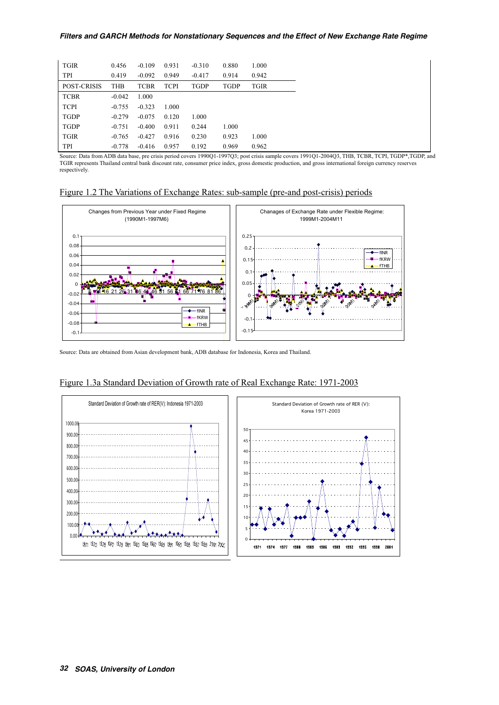| <b>TGIR</b> | 0.456      | $-0.109$    | 0.931       | $-0.310$    | 0.880 | 1.000       |
|-------------|------------|-------------|-------------|-------------|-------|-------------|
| TPI         | 0.419      | $-0.092$    | 0.949       | $-0.417$    | 0.914 | 0.942       |
| POST-CRISIS | <b>THB</b> | <b>TCBR</b> | <b>TCPI</b> | <b>TGDP</b> | TGDP  | <b>TGIR</b> |
| <b>TCBR</b> | $-0.042$   | 1.000       |             |             |       |             |
| <b>TCPI</b> | $-0.755$   | $-0.323$    | 1.000       |             |       |             |
| TGDP        | $-0.279$   | $-0.075$    | 0.120       | 1.000       |       |             |
| <b>TGDP</b> | $-0.751$   | $-0.400$    | 0.911       | 0.244       | 1.000 |             |
| <b>TGIR</b> | $-0.765$   | $-0.427$    | 0.916       | 0.230       | 0.923 | 1.000       |
| TPI         | $-0.778$   | $-0.416$    | 0.957       | 0.192       | 0.969 | 0.962       |

Source: Data from ADB data base, pre crisis period covers 1990Q1-1997Q3; post crisis sample covers 1991Q1-2004Q3, THB, TCBR, TCPI, TGDP\*,TGDP, and<br>TGIR represents Thailand central bank discount rate, consumer price index, respectively.

#### Figure 1.2 The Variations of Exchange Rates: sub-sample (pre-and post-crisis) periods



Source: Data are obtained from Asian development bank, ADB database for Indonesia, Korea and Thailand.

#### Figure 1.3a Standard Deviation of Growth rate of Real Exchange Rate: 1971-2003

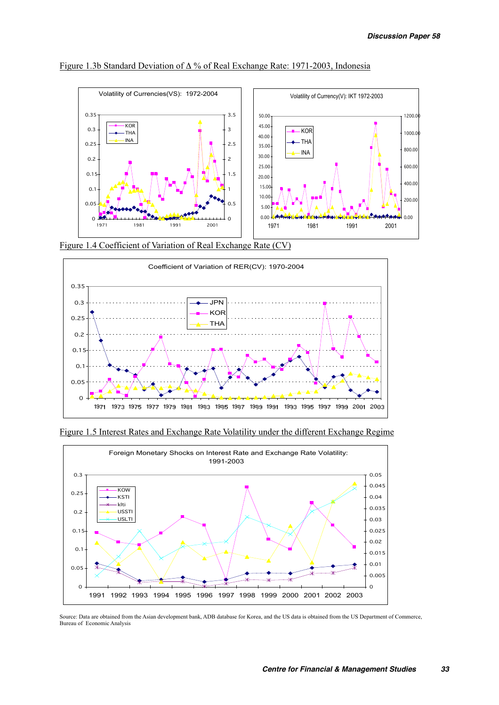

Figure 1.3b Standard Deviation of  $\Delta$ % of Real Exchange Rate: 1971-2003, Indonesia

Figure 1.4 Coefficient of Variation of Real Exchange Rate (CV)



Figure 1.5 Interest Rates and Exchange Rate Volatility under the different Exchange Regime



Source: Data are obtained from the Asian development bank, ADB database for Korea, and the US data is obtained from the US Department of Commerce, Bureau of Economic Analysis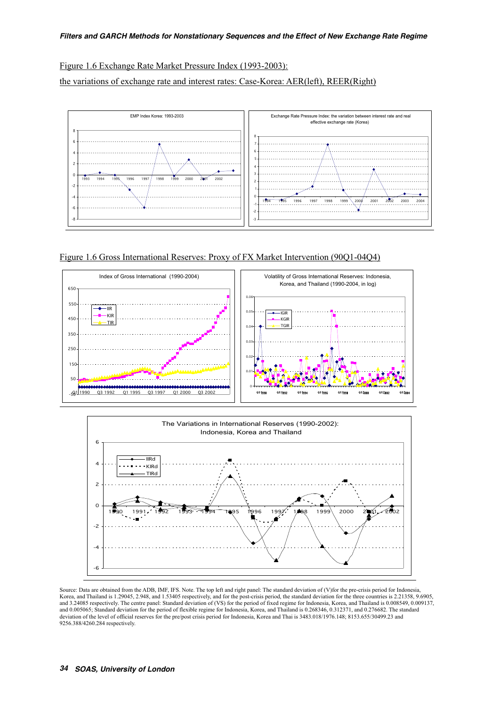#### Figure 1.6 Exchange Rate Market Pressure Index (1993-2003):

the variations of exchange rate and interest rates: Case-Korea: AER(left), REER(Right)



Figure 1.6 Gross International Reserves: Proxy of FX Market Intervention (90Q1-04Q4)





Source: Data are obtained from the ADB, IMF, IFS. Note. The top left and right panel: The standard deviation of (V)for the pre-crisis period for Indonesia, Korea, and Thailand is 1.29045, 2.948, and 1.53405 respectively, and for the post-crisis period, the standard deviation for the three countries is 2.21358, 9.6905, and 3.24085 respectively. The centre panel: Standard deviation of (VS) for the period of fixed regime for Indonesia, Korea, and Thailand is 0.008549, 0.009137, and 0.005065; Standard deviation for the period of flexible regime for Indonesia, Korea, and Thailand is 0.268346, 0.312371, and 0.276682. The standard deviation of the level of official reserves for the pre/post crisis period for Indonesia, Korea and Thai is 3483.018/1976.148; 8153.655/30499.23 and 9256.388/4260.284 respectively.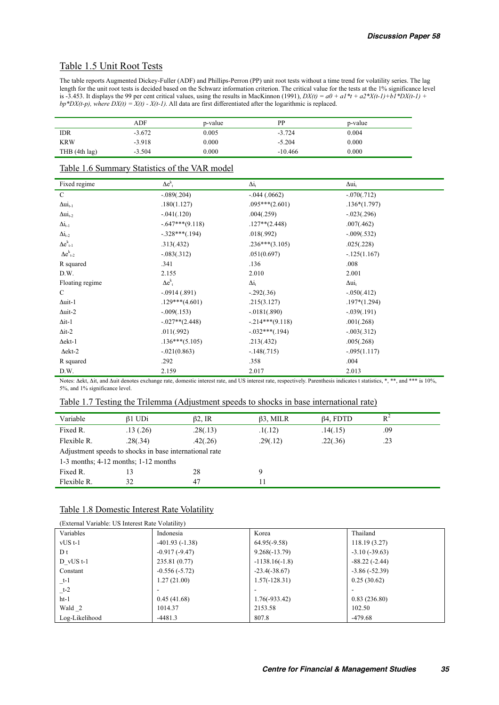#### Table 1.5 Unit Root Tests

The table reports Augmented Dickey-Fuller (ADF) and Phillips-Perron (PP) unit root tests without a time trend for volatility series. The lag length for the unit root tests is decided based on the Schwarz information criterion. The critical value for the tests at the 1% significance level is -3.453. It displays the 99 per cent critical values, using the results in MacKinnon (1991),  $DX(t) = a0 + a1*t + a2*X(t-1)+b1*DX(t-1) + b2N(t-1)$  $bp * DX(t-p)$ , where  $DX(t) = X(t) - X(t-1)$ . All data are first differentiated after the logarithmic is replaced.

|                    | ADF      | p-value | РP        | p-value |
|--------------------|----------|---------|-----------|---------|
| <b>IDR</b>         | $-3.672$ | 0.005   | $-3.724$  | 0.004   |
| <b>KRW</b>         | $-3.918$ | 0.000   | $-5.204$  | 0.000   |
| THB $(4th \, lag)$ | $-3.504$ | 0.000   | $-10.466$ | 0.000   |

#### Table 1.6 Summary Statistics of the VAR model

| Fixed regime               | $\Delta e^{k}_{t}$ | $\Delta i_t$     | $\Delta u$ <sub>t</sub> |
|----------------------------|--------------------|------------------|-------------------------|
| $\mathbf C$                | $-.089(.204)$      | $-.044(.0662)$   | $-.070(.712)$           |
| $\Delta \mathrm{ui}_{t-1}$ | .180(1.127)        | $.095***(2.601)$ | $.136*(1.797)$          |
| $\Delta \text{ui}_{t-2}$   | $-.041(.120)$      | .004(.259)       | $-.023(.296)$           |
| $\Delta i_{t-1}$           | $-.647***(9.118)$  | $.127**$ (2.448) | .007(.462)              |
| $\Delta i_{t-2}$           | $-.328***(.194)$   | .018(.992)       | $-.009(.532)$           |
| $\Delta e^k_{t-1}$         | .313(.432)         | $.236***(3.105)$ | .025(.228)              |
| $\Delta e_{t-2}^{k}$       | $-.083(.312)$      | .051(0.697)      | $-.125(1.167)$          |
| R squared                  | .341               | .136             | .008                    |
| D.W.                       | 2.155              | 2.010            | 2.001                   |
| Floating regime            | $\Delta e^{k}_{t}$ | $\Delta i_t$     | $\Delta u$ <sub>i</sub> |
| $\mathcal{C}$              | $-.0914(.891)$     | $-.292(.36)$     | $-.050(.412)$           |
| $\Delta$ uit-1             | $.129***(4.601)$   | .215(3.127)      | $.197*(1.294)$          |
| $\Delta$ uit-2             | $-.009(.153)$      | $-.0181(.890)$   | $-.039(.191)$           |
| $\Delta$ it-1              | $-0.027**$ (2.448) | $-214***(9.118)$ | .001(.268)              |
| $\Delta$ it-2              | .011(.992)         | $-.032***(.194)$ | $-.003(.312)$           |
| $\Delta$ ekt-1             | $.136***(5.105)$   | .213(.432)       | .005(.268)              |
| $\Delta$ ekt-2             | $-.021(0.863)$     | $-.148(.715)$    | $-.095(1.117)$          |
| R squared                  | .292               | .358             | .004                    |
| D.W.                       | 2.159              | 2.017            | 2.013                   |

Notes:  $\Delta$ ekt,  $\Delta$ it, and  $\Delta$ uit denotes exchange rate, domestic interest rate, and US interest rate, respectively. Parenthesis indicates t statistics, \*, \*\*, and \*\*\* is 10%, 5%, and 1% significance level.

### Table 1.7 Testing the Trilemma (Adjustment speeds to shocks in base international rate)

| Variable                                   | $\beta$ l UDi                                          | $\beta$ 2, IR | $\beta$ 3, MILR | $\beta$ 4, FDTD | $R^2$ |
|--------------------------------------------|--------------------------------------------------------|---------------|-----------------|-----------------|-------|
| Fixed R.                                   | .13(.26)                                               | .28(.13)      | .1(.12)         | .14(.15)        | .09   |
| Flexible R.                                | .28(.34)                                               | .42(.26)      | .29(.12)        | .22(.36)        | .23   |
|                                            | Adjustment speeds to shocks in base international rate |               |                 |                 |       |
| $1-3$ months; $4-12$ months; $1-12$ months |                                                        |               |                 |                 |       |
| Fixed R.                                   | 13                                                     | 28            | 9               |                 |       |
| Flexible R.                                | 32                                                     | 47            | 1               |                 |       |

#### Table 1.8 Domestic Interest Rate Volatility

| (External Variable: US Interest Rate Volatility) |                  |                  |                 |  |  |
|--------------------------------------------------|------------------|------------------|-----------------|--|--|
| Variables                                        | Indonesia        | Korea            | Thailand        |  |  |
| $vUS$ t-1                                        | $-401.93(-1.38)$ | $64.95(-9.58)$   | 118.19 (3.27)   |  |  |
| D t                                              | $-0.917(-9.47)$  | $9.268(-13.79)$  | $-3.10(-39.63)$ |  |  |
| $D$ vUS t-1                                      | 235.81 (0.77)    | $-1138.16(-1.8)$ | $-88.22(-2.44)$ |  |  |
| Constant                                         | $-0.556(-5.72)$  | $-23.4(-38.67)$  | $-3.86(-52.39)$ |  |  |
| $-t-1$                                           | 1.27(21.00)      | $1.57(-128.31)$  | 0.25(30.62)     |  |  |
| $-t-2$                                           |                  |                  |                 |  |  |
| $ht-1$                                           | 0.45(41.68)      | $1.76(-933.42)$  | 0.83(236.80)    |  |  |
| Wald 2                                           | 1014.37          | 2153.58          | 102.50          |  |  |
| Log-Likelihood                                   | $-4481.3$        | 807.8            | -479.68         |  |  |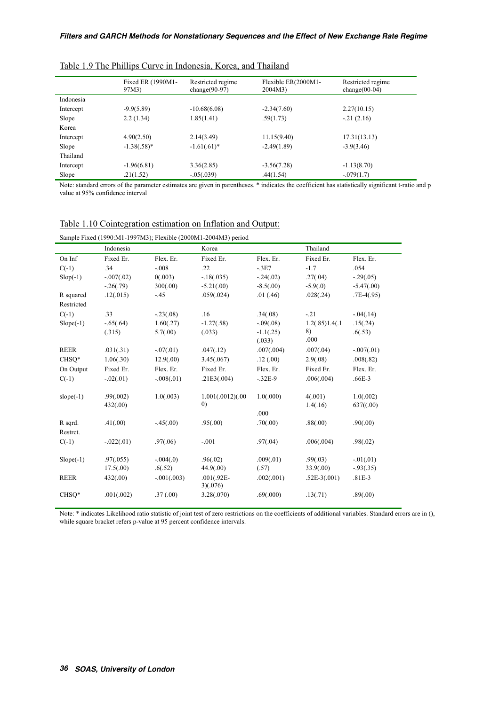|           | Fixed ER (1990M1-<br>97M3) | Restricted regime<br>change $(90-97)$ | Flexible $ER(2000M1 -$<br>2004M3) | Restricted regime<br>change $(00-04)$ |
|-----------|----------------------------|---------------------------------------|-----------------------------------|---------------------------------------|
| Indonesia |                            |                                       |                                   |                                       |
| Intercept | $-9.9(5.89)$               | $-10.68(6.08)$                        | $-2.34(7.60)$                     | 2.27(10.15)                           |
| Slope     | 2.2(1.34)                  | 1.85(1.41)                            | .59(1.73)                         | $-.21(2.16)$                          |
| Korea     |                            |                                       |                                   |                                       |
| Intercept | 4.90(2.50)                 | 2.14(3.49)                            | 11.15(9.40)                       | 17.31(13.13)                          |
| Slope     | $-1.38(.58)*$              | $-1.61(.61)^*$                        | $-2.49(1.89)$                     | $-3.9(3.46)$                          |
| Thailand  |                            |                                       |                                   |                                       |
| Intercept | $-1.96(6.81)$              | 3.36(2.85)                            | $-3.56(7.28)$                     | $-1.13(8.70)$                         |
| Slope     | .21(1.52)                  | $-.05(.039)$                          | .44(1.54)                         | $-.079(1.7)$                          |

| Table 1.9 The Phillips Curve in Indonesia, Korea, and Thailand |
|----------------------------------------------------------------|
|----------------------------------------------------------------|

Note: standard errors of the parameter estimates are given in parentheses. \* indicates the coefficient has statistically significant t-ratio and p value at 95% confidence interval

|--|

|              | Indonesia    |               | Korea                     |             | Thailand        |               |
|--------------|--------------|---------------|---------------------------|-------------|-----------------|---------------|
| On Inf       | Fixed Er.    | Flex. Er.     | Fixed Er.                 | Flex. Er.   | Fixed Er.       | Flex. Er.     |
| $C(-1)$      | .34          | $-.008$       | .22                       | $-3E7$      | $-1.7$          | .054          |
| $Slop(-1)$   | $-.007(.02)$ | 0(.003)       | $-.18(.035)$              | $-.24(.02)$ | .27(.04)        | $-.29(.05)$   |
|              | $-.26(.79)$  | 300(.00)      | $-5.21(.00)$              | $-8.5(.00)$ | $-5.9(0)$       | $-5.47(.00)$  |
| R squared    | .12(.015)    | $-.45$        | .059(.024)                | .01(0.46)   | .028(.24)       | $.7E-4(.95)$  |
| Restricted   |              |               |                           |             |                 |               |
| $C(-1)$      | .33          | $-.23(.08)$   | .16                       | .34(.08)    | $-.21$          | $-.04(.14)$   |
| $Slope(-1)$  | $-.65(.64)$  | 1.60(.27)     | $-1.27(.58)$              | $-.09(.08)$ | 1.2(.85)1.4(.1) | .15(.24)      |
|              | (.315)       | 5.7(.00)      | (.033)                    | $-1.1(.25)$ | 8)              | .6(.53)       |
|              |              |               |                           | (.033)      | .000            |               |
| <b>REER</b>  | .031(.31)    | $-.07(.01)$   | .047(.12)                 | .007(.004)  | .007(.04)       | $-.007(.01)$  |
| CHSO*        | 1.06(.30)    | 12.9(.00)     | 3.45(.067)                | .12(.00)    | 2.9(.08)        | .008(.82)     |
| On Output    | Fixed Er.    | Flex. Er.     | Fixed Er.                 | Flex. Er.   | Fixed Er.       | Flex. Er.     |
| $C(-1)$      | $-.02(.01)$  | $-.008(.01)$  | .21E3(.004)               | $-.32E-9$   | .006(.004)      | $.66E-3$      |
| slope $(-1)$ | .99(.002)    | 1.0(.003)     | 1.001(.0012)(.00          | 1.0(.000)   | 4(.001)         | 1.0(.002)     |
|              | 432(.00)     |               | $\left( 0\right)$         |             | 1.4(.16)        | 637((.00)     |
|              |              |               |                           | .000        |                 |               |
| R sqrd.      | .41(.00)     | $-.45(.00)$   | .95(.00)                  | .70(.00)    | .88(.00)        | .90(.00)      |
| Restrct.     |              |               |                           |             |                 |               |
| $C(-1)$      | $-.022(.01)$ | .97(.06)      | $-.001$                   | .97(.04)    | .006(.004)      | .98(.02)      |
| $Slope(-1)$  | .97(.055)    | $-.004(.0)$   | .96(.02)                  | .009(.01)   | .99(.03)        | $-0.01(0.01)$ |
|              | 17.5(.00)    | .6(.52)       | 44.9(.00)                 | (.57)       | 33.9(.00)       | $-0.93(0.35)$ |
| <b>REER</b>  | 432(.00)     | $-.001(.003)$ | $.001(.92E -$<br>3)(.076) | .002(.001)  | $.52E-3(.001)$  | $.81E - 3$    |
| CHSQ*        | .001(.002)   | .37(.00)      | 3.28(.070)                | .69(.000)   | .13(.71)        | .89(.00)      |

Note: \* indicates Likelihood ratio statistic of joint test of zero restrictions on the coefficients of additional variables. Standard errors are in (), while square bracket refers p-value at 95 percent confidence intervals.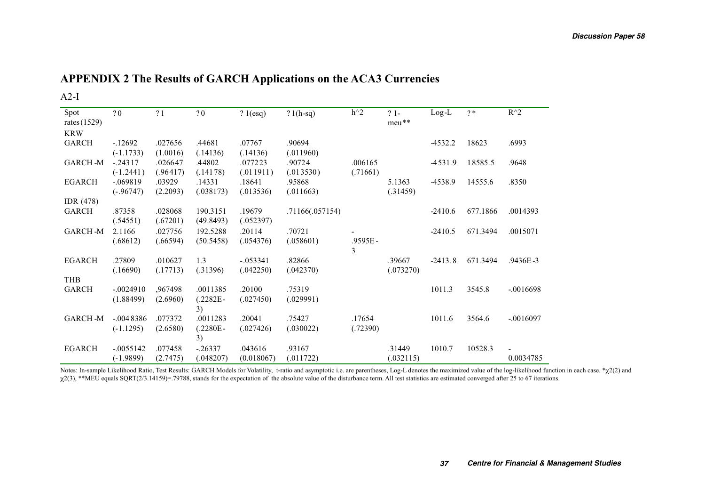# APPENDIX 2 The Results of GARCH Applications on the ACA3 Currencies

A2-I

| Spot           |              |          | 20          |            |                 | $h^{\wedge}2$ |           | $Log-L$   | $2*$     | $R^2$       |
|----------------|--------------|----------|-------------|------------|-----------------|---------------|-----------|-----------|----------|-------------|
| rates $(1529)$ | ? 0          | ? 1      |             | ? 1(esq)   | $?1(h-sq)$      |               | $?1 -$    |           |          |             |
|                |              |          |             |            |                 |               | meu**     |           |          |             |
| <b>KRW</b>     |              |          |             |            |                 |               |           |           |          |             |
| <b>GARCH</b>   | $-12692$     | .027656  | .44681      | .07767     | .90694          |               |           | $-4532.2$ | 18623    | .6993       |
|                | $(-1.1733)$  | (1.0016) | (.14136)    | (.14136)   | (.011960)       |               |           |           |          |             |
| GARCH-M        | $-.24317$    | .026647  | .44802      | .077223    | .90724          | .006165       |           | $-4531.9$ | 18585.5  | .9648       |
|                | $(-1.2441)$  | (.96417) | (.14178)    | (.011911)  | (.013530)       | (.71661)      |           |           |          |             |
| <b>EGARCH</b>  | $-.069819$   | .03929   | .14331      | .18641     | .95868          |               | 5.1363    | -4538.9   | 14555.6  | .8350       |
|                | $(-.96747)$  | (2.2093) | (.038173)   | (.013536)  | (.011663)       |               | (.31459)  |           |          |             |
| IDR (478)      |              |          |             |            |                 |               |           |           |          |             |
| <b>GARCH</b>   | .87358       | .028068  | 190.3151    | .19679     | .71166(.057154) |               |           | $-2410.6$ | 677.1866 | .0014393    |
|                | (.54551)     | (.67201) | (49.8493)   | (.052397)  |                 |               |           |           |          |             |
| <b>GARCH-M</b> | 2.1166       | .027756  | 192.5288    | .20114     | .70721          |               |           | $-2410.5$ | 671.3494 | .0015071    |
|                | (.68612)     | (.66594) | (50.5458)   | (.054376)  | (.058601)       | .9595E-       |           |           |          |             |
|                |              |          |             |            |                 | 3             |           |           |          |             |
| <b>EGARCH</b>  | .27809       | .010627  | 1.3         | $-.053341$ | .82866          |               | .39667    | $-2413.8$ | 671.3494 | .9436E-3    |
|                | (.16690)     | (.17713) | (.31396)    | (.042250)  | (.042370)       |               | (.073270) |           |          |             |
| <b>THB</b>     |              |          |             |            |                 |               |           |           |          |             |
| <b>GARCH</b>   | $-.0024910$  | ,967498  | .0011385    | .20100     | .75319          |               |           | 1011.3    | 3545.8   | $-.0016698$ |
|                | (1.88499)    | (2.6960) | $(.2282E -$ | (.027450)  | (.029991)       |               |           |           |          |             |
|                |              |          | 3)          |            |                 |               |           |           |          |             |
| <b>GARCH-M</b> | $-0.0048386$ | .077372  | .0011283    | .20041     | .75427          | .17654        |           | 1011.6    | 3564.6   | $-.0016097$ |
|                | $(-1.1295)$  | (2.6580) | $(.2280E -$ | (.027426)  | (.030022)       | (.72390)      |           |           |          |             |
|                |              |          | 3)          |            |                 |               |           |           |          |             |
| <b>EGARCH</b>  | $-.0055142$  | .077458  | $-26337$    | .043616    | .93167          |               | .31449    | 1010.7    | 10528.3  |             |
|                | $(-1.9899)$  | (2.7475) | (.048207)   | (0.018067) | (.011722)       |               | (.032115) |           |          | 0.0034785   |

Notes: In-sample Likelihood Ratio, Test Results: GARCH Models for Volatility, t-ratio and asymptotic i.e. are parentheses, Log-L denotes the maximized value of the log-likelihood function in each case. \* $\chi$ 2(2) and  $\chi$ 2(3), \*\*MEU equals SQRT(2/3.14159)=.79788, stands for the expectation of the absolute value of the disturbance term. All test statistics are estimated converged after 25 to 67 iterations.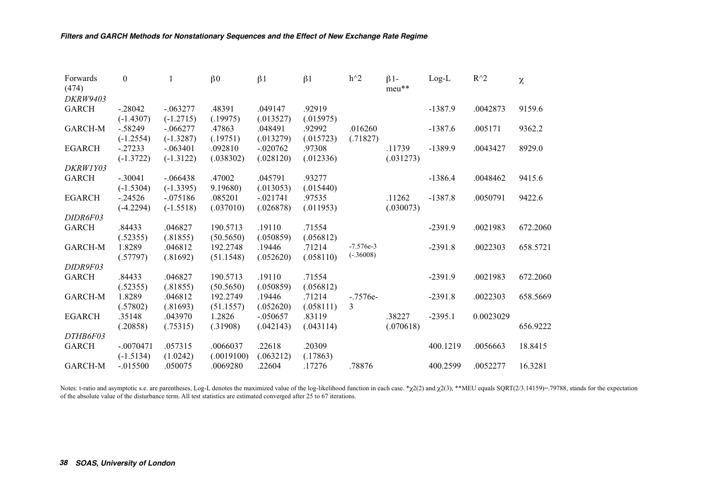| Forwards<br>(474) | $\theta$    |             | $\beta$ 0  | $\beta$ 1  | $\beta$ 1 | $h^2$       | $\beta$ 1-<br>meu** | $Log-L$   | $R^{\wedge}2$ | $\chi$   |
|-------------------|-------------|-------------|------------|------------|-----------|-------------|---------------------|-----------|---------------|----------|
| <b>DKRW9403</b>   |             |             |            |            |           |             |                     |           |               |          |
| <b>GARCH</b>      | $-.28042$   | $-.063277$  | .48391     | .049147    | .92919    |             |                     | $-1387.9$ | .0042873      | 9159.6   |
|                   | $(-1.4307)$ | $(-1.2715)$ | (.19975)   | (.013527)  | (.015975) |             |                     |           |               |          |
| <b>GARCH-M</b>    | $-.58249$   | $-.066277$  | .47863     | .048491    | .92992    | .016260     |                     | $-1387.6$ | .005171       | 9362.2   |
|                   | $(-1.2554)$ | $(-1.3287)$ | (.19751)   | (.013279)  | (.015723) | (.71827)    |                     |           |               |          |
| <b>EGARCH</b>     | $-.27233$   | $-.063401$  | .092810    | $-.020762$ | .97308    |             | .11739              | $-1389.9$ | .0043427      | 8929.0   |
|                   | $(-1.3722)$ | $(-1.3122)$ | (.038302)  | (.028120)  | (.012336) |             | (.031273)           |           |               |          |
| DKRW1Y03          |             |             |            |            |           |             |                     |           |               |          |
| <b>GARCH</b>      | $-.30041$   | $-.066438$  | .47002     | .045791    | .93277    |             |                     | $-1386.4$ | .0048462      | 9415.6   |
|                   | $(-1.5304)$ | $(-1.3395)$ | 9.19680)   | (.013053)  | (.015440) |             |                     |           |               |          |
| <b>EGARCH</b>     | $-.24526$   | $-.075186$  | .085201    | $-.021741$ | .97535    |             | .11262              | $-1387.8$ | .0050791      | 9422.6   |
|                   | $(-4.2294)$ | $(-1.5518)$ | (.037010)  | (.026878)  | (.011953) |             | (.030073)           |           |               |          |
| DIDR6F03          |             |             |            |            |           |             |                     |           |               |          |
| <b>GARCH</b>      | .84433      | .046827     | 190.5713   | .19110     | .71554    |             |                     | $-2391.9$ | .0021983      | 672.2060 |
|                   | (.52355)    | (.81855)    | (50.5650)  | (.050859)  | (.056812) |             |                     |           |               |          |
| <b>GARCH-M</b>    | 1.8289      | .046812     | 192.2748   | .19446     | .71214    | $-7.576e-3$ |                     | $-2391.8$ | .0022303      | 658.5721 |
|                   | (.57797)    | (.81692)    | (51.1548)  | (.052620)  | (.058110) | $(-.36008)$ |                     |           |               |          |
| DIDR9F03          |             |             |            |            |           |             |                     |           |               |          |
| <b>GARCH</b>      | .84433      | .046827     | 190.5713   | .19110     | .71554    |             |                     | $-2391.9$ | .0021983      | 672.2060 |
|                   | (.52355)    | (.81855)    | (50.5650)  | (.050859)  | (.056812) |             |                     |           |               |          |
| <b>GARCH-M</b>    | 1.8289      | .046812     | 192.2749   | .19446     | .71214    | $-0.7576e-$ |                     | $-2391.8$ | .0022303      | 658.5669 |
|                   | (.57802)    | (.81693)    | (51.1557)  | (.052620)  | (.058111) | 3           |                     |           |               |          |
| <b>EGARCH</b>     | .35148      | .043970     | 1.2826     | $-.050657$ | .83119    |             | .38227              | $-2395.1$ | 0.0023029     |          |
|                   | (.20858)    | (.75315)    | (.31908)   | (.042143)  | (.043114) |             | (.070618)           |           |               | 656.9222 |
| DTHB6F03          |             |             |            |            |           |             |                     |           |               |          |
| <b>GARCH</b>      | $-.0070471$ | .057315     | .0066037   | .22618     | .20309    |             |                     | 400.1219  | .0056663      | 18.8415  |
|                   | $(-1.5134)$ | (1.0242)    | (.0019100) | (.063212)  | (.17863)  |             |                     |           |               |          |
| <b>GARCH-M</b>    | $-.015500$  | .050075     | .0069280   | .22604     | .17276    | .78876      |                     | 400.2599  | .0052277      | 16.3281  |

Notes: t-ratio and asymptotic s.e. are parentheses, Log-L denotes the maximized value of the log-likelihood function in each case. \* $\chi$ 2(2) and  $\chi$ 2(3), \*\*MEU equals SQRT(2/3.14159)=.79788, stands for the expectation of the absolute value of the disturbance term. All test statistics are estimated converged after 25 to 67 iterations.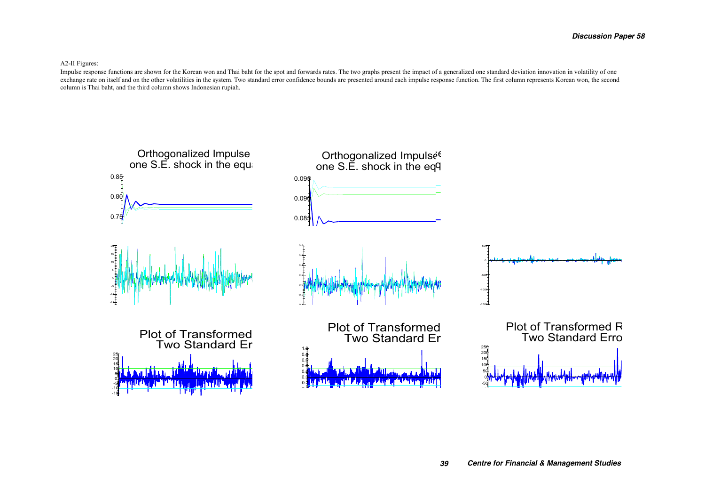A2-II Figures:

Impulse response functions are shown for the Korean won and Thai baht for the spot and forwards rates. The two graphs present the impact of a generalized one standard deviation innovation in volatility of one exchange rate on itself and on the other volatilities in the system. Two standard error confidence bounds are presented around each impulse response function. The first column represents Korean won, the second column is Thai baht, and the third column shows Indonesian rupiah.

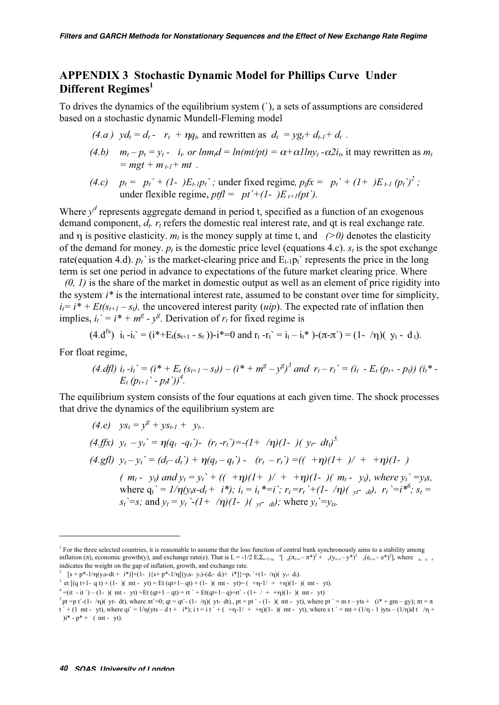# APPENDIX 3 Stochastic Dynamic Model for Phillips Curve Under Different Regimes<sup>1</sup>

To drives the dynamics of the equilibrium system (`), a sets of assumptions are considered based on a stochastic dynamic Mundell-Fleming model

- (4.a)  $yd_t = d_t r_t + \eta q_t$ , and rewritten as  $d_t = v g_t + d_{t-1} + d_t$ .
- (4.b)  $m_t p_t = v_t i_t$ , or lnm, $d = ln(mt/pt) = \alpha + \alpha l ln v_t \alpha 2i_t$ , it may rewritten as  $m_t$  $= mgt + m_{t-1} + mt$ .
- (4.c)  $p_t = p_t' + (1 \frac{1}{E_{t-1}} p_t)$ ; under fixed regime,  $p_t f x = p_t' + (1 + \frac{1}{E_{t-1}} (p_t))^2$ ; under flexible regime,  $ptfl = pt+(1-)E_{t+1}(pt)$ .

Where  $y<sup>d</sup>$  represents aggregate demand in period t, specified as a function of an exogenous demand component,  $d_t$ .  $r_t$  refers the domestic real interest rate, and qt is real exchange rate. and  $\eta$  is positive elasticity.  $m_t$  is the money supply at time t, and (>0) denotes the elasticity of the demand for money.  $p_t$  is the domestic price level (equations 4.c).  $s_t$  is the spot exchange rate(equation 4.d).  $p_t$  is the market-clearing price and  $E_{t-1}p_t$  represents the price in the long term is set one period in advance to expectations of the future market clearing price. Where

 $(0, 1)$  is the share of the market in domestic output as well as an element of price rigidity into the system  $i^*$  is the international interest rate, assumed to be constant over time for simplicity,  $i_t = i^* + Et(s_{t+1} - s_t)$ , the uncovered interest parity (*uip*). The expected rate of inflation then implies,  $i_t = i^* + m^g - y^g$ . Derivation of  $r_t$  for fixed regime is

$$
(4. d^{fx}) i_t - i_t = (i^* + E_t(s_{t+1} - s_t)) - i^* = 0 \text{ and } r_t - r_t = i_t - i_t^* - (t - \pi) = (1 - \pi)(y_t - d_t).
$$

For float regime,

$$
(4. d\mathit{f}l) i_{t} - i_{t} = (i^{*} + E_{t}(s_{t+1} - s_{t})) - (i^{*} + m^{g} - y^{g})^{3} \text{ and } r_{t} - r_{t} = (i_{t} - E_{t}(p_{t+} - p_{t})) (i_{t}^{*} - E_{t}(p_{t+1} - p_{t}))^{4}.
$$

The equilibrium system consists of the four equations at each given time. The shock processes that drive the dynamics of the equilibrium system are

(4.e) 
$$
ys_t = y^g + ys_{t-1} + y_t
$$
.  
\n(4.ffx)  $y_t - y_t' = \eta(q_t - q_t) - (r_t - r_t) = -(1 + \eta)(1 - \eta)(y_t - dt_t)^5$ .  
\n(4.gfl)  $y_t - y_t' = (d_t - d_t) + \eta(q_t - q_t) - (r_t - r_t) = ((\eta)(1 + \eta) + \eta)(1 - \eta)(1 - \eta) = (m_t - y_t) \text{ and } y_t = y_t' + ((\eta)(1 + \eta) + \eta)(1 - \eta)(m_t - y_t) \text{ where } y_t' = y_t \text{, where } y_t' = 1/\eta(y_t - d_t + i^*); i_t = i_t * = i^*; r_t = r_t' + (1 - \eta)(y_t - d_t), r_t' = i^*; s_t = s_t' = s_t' \text{ and } y_t = y_t' - (1 + \eta)(1 - \eta)(y_t - d_t); \text{ where } y_t' = y_t \text{.}$ 

<sup>&</sup>lt;sup>1</sup> For the three selected countries, it is reasonable to assume that the loss function of central bank synchronously aims to a stability among inflation ( $\pi$ ), economic growth(y), and exchange rate(e). That is  $L = -1/2$   $E_t \Sigma_{s=1>_{\text{or}}}$  <sup>s</sup>[ $\pi(\pi_{t+s} - \pi^*)^2 + \gamma(y_{t+s} - y^*)^2$   $(e_{t+s} - e^*)^2$ ], where  $\pi$ ,  $y$ ,  $e$ indicates the weight on the gap of inflation, growth, and exchange rate.

 $[s + p^* - 1/\eta(y_i s - dt + i^*)] + (1 - \frac{s + p^* - 1}{\eta(y_i s - y_t)} - (d_t - d_t) + i^*] = p_t + (1 - \eta)(y_t - d_t).$ 

 $3 \text{ et } [(q t+1-q t)+(1-)(mt-yt)=Et (qt+1-qt)+(1-)(mt-yt)=(t+1-1/t+tn)(1-)(mt-yt).$ 

 $A^4 = (it - it') - (1 - ) (mt - yt) = Et (qt+1-qt) = rt' + Et(qt+1-q) = rt' - (1+ t' + t'')(1- t' + yt)$ 

 $\int^5 pt = pt'$ -(1- / $\eta$ )( yt- dt), where  $\pi t = 0$ ; qt = qt'- (1- / $\eta$ )( yt- dt)., pt = pt `- (1- )( mt - yt), where pt `= m t - yts + (i\* + gm - gy);  $\pi t = \pi$  $t^+$  + (1 mt - yt), where qi<sup>\</sup> = 1/ $\eta$ (yts – dt + i\*); it = it + ( + $\eta$ -1/ + + $\eta$ )(1- )( mt - yt), where s t ` = mt + (1/ $\eta$  - 1 )yts – (1/ $\eta$ )d t / $\eta$  + ) $i^* - p^* + (mt - yt)$ .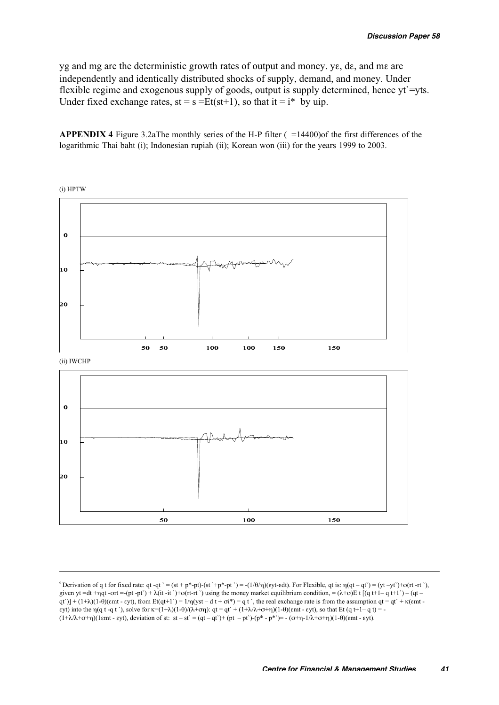$yg$  and mg are the deterministic growth rates of output and money.  $y\epsilon$ , de, and me are independently and identically distributed shocks of supply, demand, and money. Under flexible regime and exogenous supply of goods, output is supply determined, hence yt'=yts. Under fixed exchange rates,  $st = s = Et(st+1)$ , so that  $it = i^*$  by uip.

APPENDIX 4 Figure 3.2aThe monthly series of the H-P filter ( =14400)of the first differences of the logarithmic Thai baht (i); Indonesian rupiah (ii); Korean won (iii) for the years 1999 to 2003.



<sup>&</sup>lt;sup>6</sup> Derivation of q t for fixed rate: qt -qt ` = (st + p\*-pt)-(st `+p\*-pt `) = -(1/ $\theta/\eta$ )(eyt-edt). For Flexible, qt is:  $\eta(qt - qt) = (yt - yt) + \sigma(rt - rt)$ ; given yt =dt +qqt -ort =-(pt -pt') +  $\lambda$ (it -it ')+o(rt-rt ') using the money market equilibrium condition, =  $(\lambda+\sigma)E$  t  $[(q +1-q +1') - (q +$ qt`)] +  $(1+\lambda)(1-\theta)(\epsilon mt - \epsilon yt)$ , from Et(qt+1`) =  $1/\eta(yst - d t + \sigma i^*) = q t$ `, the real exchange rate is from the assumption qt = qt` +  $\kappa(\epsilon mt - \epsilon t)$  $s(t)$  into the  $\eta(q t - q t^*)$ , solve for  $\kappa = (1 + \lambda)(1 - \theta)/(\lambda + \sigma \eta)$ :  $qt = qt^* + (1 + \lambda/\lambda + \sigma + \eta)(1 - \theta)(\epsilon mt - syt)$ , so that Et  $(q t + 1 - q t) = -\frac{1}{2}$  $(1+\lambda\lambda+\sigma+\eta)(1\epsilon m t - \epsilon yt)$ , deviation of st:  $st - st' = (qt - qt')+(pt - pt')-(p^* - p^*) = -(\sigma+\eta-1/\lambda+\sigma+\eta)(1-\theta)(\epsilon m t - \epsilon yt)$ .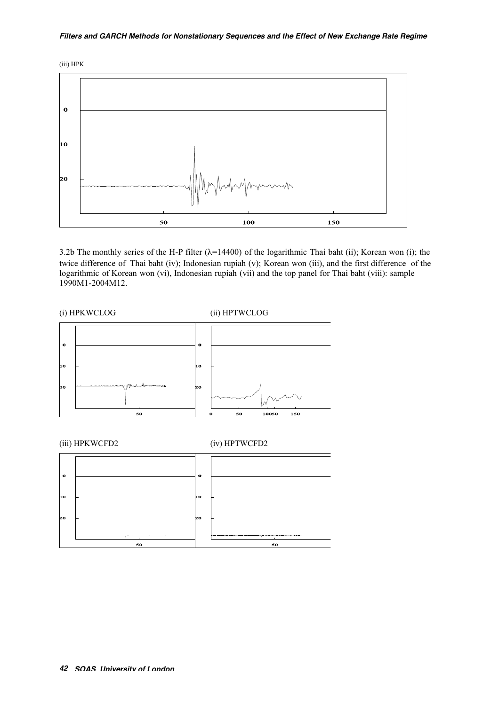#### **Filters and GARCH Methods for Nonstationary Sequences and the Effect of New Exchange Rate Regime**





3.2b The monthly series of the H-P filter ( $\lambda$ =14400) of the logarithmic Thai baht (ii); Korean won (i); the twice difference of Thai baht (iv); Indonesian rupiah (v); Korean won (iii), and the first difference of the logarithmic of Korean won (vi), Indonesian rupiah (vii) and the top panel for Thai baht (viii): sample 1990M1-2004M12.

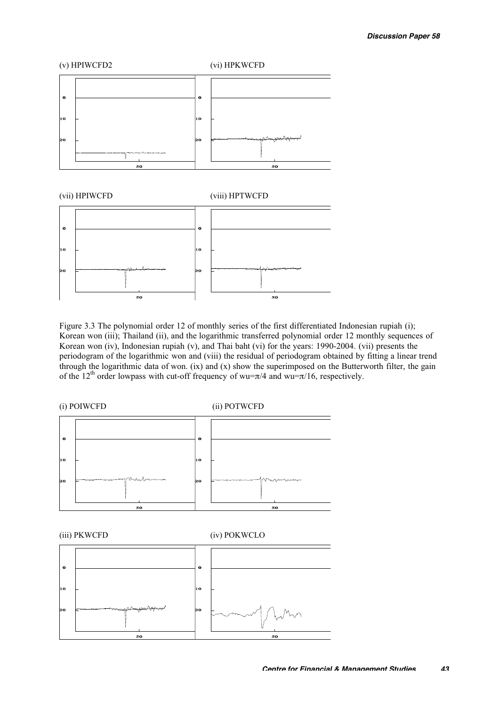

Figure 3.3 The polynomial order 12 of monthly series of the first differentiated Indonesian rupiah (i); Korean won (iii); Thailand (ii), and the logarithmic transferred polynomial order 12 monthly sequences of Korean won (iv), Indonesian rupiah (v), and Thai baht (vi) for the years: 1990-2004. (vii) presents the periodogram of the logarithmic won and (viii) the residual of periodogram obtained by fitting a linear trend through the logarithmic data of won. (ix) and (x) show the superimposed on the Butterworth filter, the gain of the 12<sup>th</sup> order lowpass with cut-off frequency of wu= $\pi/4$  and wu= $\pi/16$ , respectively.